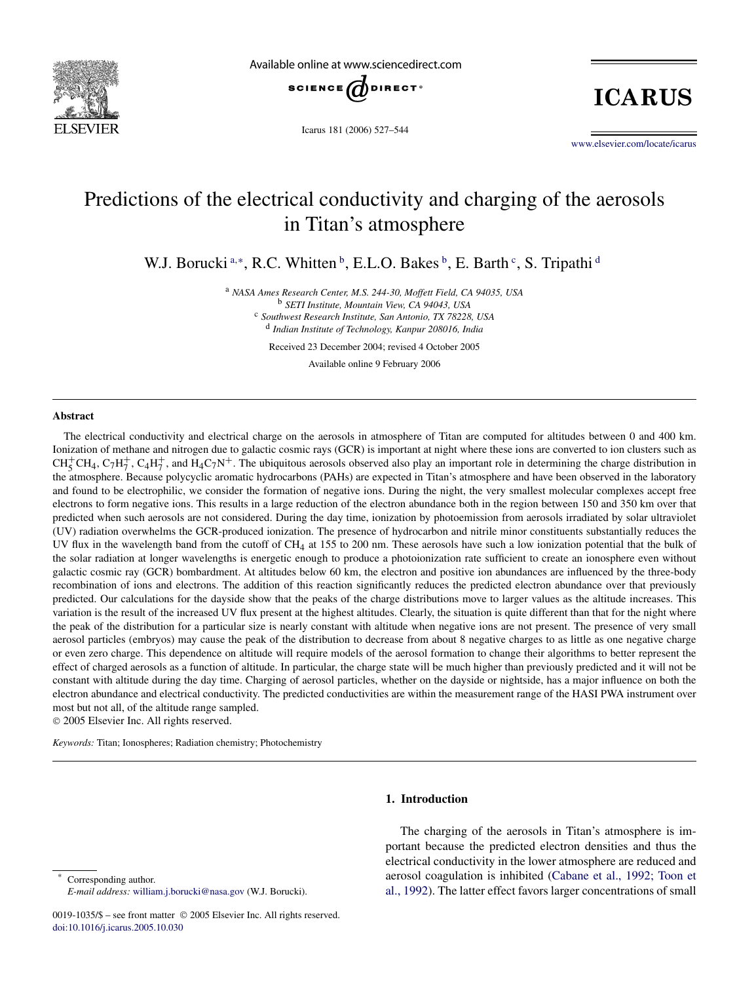

Available online at www.sciencedirect.com



Icarus 181 (2006) 527–544

**ICARUS** 

[www.elsevier.com/locate/icarus](http://www.elsevier.com/locate/icarus)

# Predictions of the electrical conductivity and charging of the aerosols in Titan's atmosphere

W.J. Borucki<sup>a,∗</sup>, R.C. Whitten<sup>b</sup>, E.L.O. Bakes<sup>b</sup>, E. Barth<sup>c</sup>, S. Tripathi<sup>d</sup>

<sup>a</sup> *NASA Ames Research Center, M.S. 244-30, Moffett Field, CA 94035, USA* <sup>b</sup> *SETI Institute, Mountain View, CA 94043, USA* <sup>c</sup> *Southwest Research Institute, San Antonio, TX 78228, USA*

<sup>d</sup> *Indian Institute of Technology, Kanpur 208016, India*

Received 23 December 2004; revised 4 October 2005

Available online 9 February 2006

#### **Abstract**

The electrical conductivity and electrical charge on the aerosols in atmosphere of Titan are computed for altitudes between 0 and 400 km. Ionization of methane and nitrogen due to galactic cosmic rays (GCR) is important at night where these ions are converted to ion clusters such as  $CH_5^+CH_4$ ,  $C_7H_7^+$ ,  $C_4H_7^+$ , and  $H_4C_7N^+$ . The ubiquitous aerosols observed also play an important role in determining the charge distribution in the atmosphere. Because polycyclic aromatic hydrocarbons (PAHs) are expected in Titan's atmosphere and have been observed in the laboratory and found to be electrophilic, we consider the formation of negative ions. During the night, the very smallest molecular complexes accept free electrons to form negative ions. This results in a large reduction of the electron abundance both in the region between 150 and 350 km over that predicted when such aerosols are not considered. During the day time, ionization by photoemission from aerosols irradiated by solar ultraviolet (UV) radiation overwhelms the GCR-produced ionization. The presence of hydrocarbon and nitrile minor constituents substantially reduces the UV flux in the wavelength band from the cutoff of CH4 at 155 to 200 nm. These aerosols have such a low ionization potential that the bulk of the solar radiation at longer wavelengths is energetic enough to produce a photoionization rate sufficient to create an ionosphere even without galactic cosmic ray (GCR) bombardment. At altitudes below 60 km, the electron and positive ion abundances are influenced by the three-body recombination of ions and electrons. The addition of this reaction significantly reduces the predicted electron abundance over that previously predicted. Our calculations for the dayside show that the peaks of the charge distributions move to larger values as the altitude increases. This variation is the result of the increased UV flux present at the highest altitudes. Clearly, the situation is quite different than that for the night where the peak of the distribution for a particular size is nearly constant with altitude when negative ions are not present. The presence of very small aerosol particles (embryos) may cause the peak of the distribution to decrease from about 8 negative charges to as little as one negative charge or even zero charge. This dependence on altitude will require models of the aerosol formation to change their algorithms to better represent the effect of charged aerosols as a function of altitude. In particular, the charge state will be much higher than previously predicted and it will not be constant with altitude during the day time. Charging of aerosol particles, whether on the dayside or nightside, has a major influence on both the electron abundance and electrical conductivity. The predicted conductivities are within the measurement range of the HASI PWA instrument over most but not all, of the altitude range sampled.

2005 Elsevier Inc. All rights reserved.

*Keywords:* Titan; Ionospheres; Radiation chemistry; Photochemistry

#### **1. Introduction**

The charging of the aerosols in Titan's atmosphere is important because the predicted electron densities and thus the electrical conductivity in the lower atmosphere are reduced and aerosol coagulation is inhibited [\(Cabane et al., 1992; Toon et](#page-16-0) [al., 1992\)](#page-16-0). The latter effect favors larger concentrations of small

Corresponding author. *E-mail address:* [william.j.borucki@nasa.gov](mailto:william.j.borucki@nasa.gov) (W.J. Borucki).

<sup>0019-1035/\$ –</sup> see front matter  $\degree$  2005 Elsevier Inc. All rights reserved. [doi:10.1016/j.icarus.2005.10.030](http://dx.doi.org/10.1016/j.icarus.2005.10.030)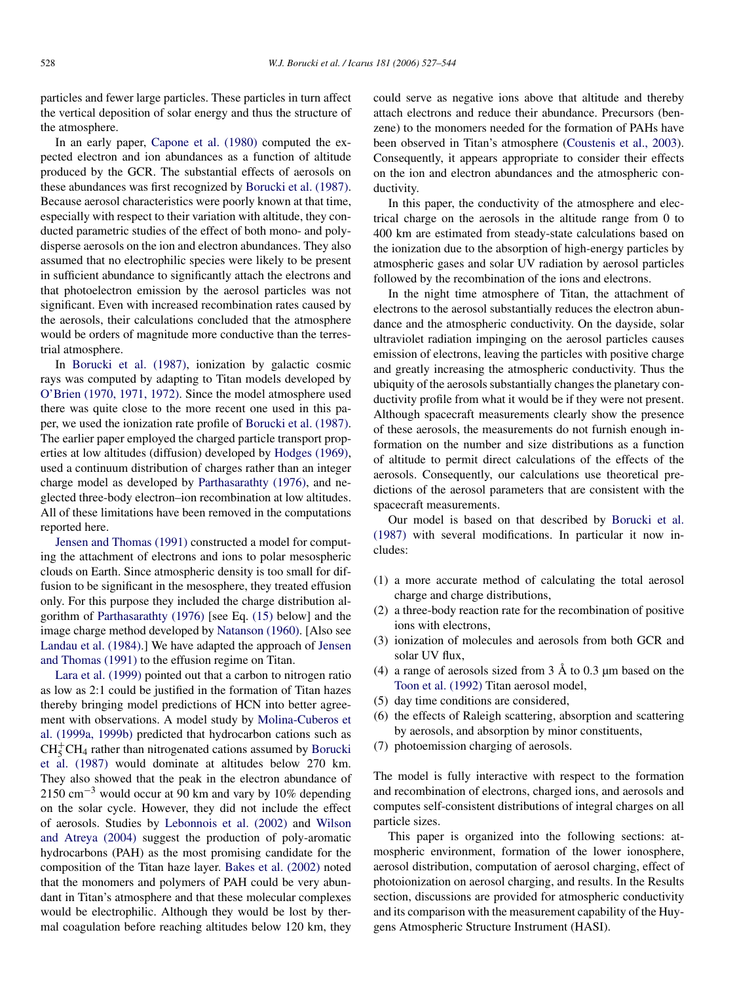particles and fewer large particles. These particles in turn affect the vertical deposition of solar energy and thus the structure of the atmosphere.

In an early paper, [Capone et al. \(1980\)](#page-16-0) computed the expected electron and ion abundances as a function of altitude produced by the GCR. The substantial effects of aerosols on these abundances was first recognized by [Borucki et al. \(1987\).](#page-16-0) Because aerosol characteristics were poorly known at that time, especially with respect to their variation with altitude, they conducted parametric studies of the effect of both mono- and polydisperse aerosols on the ion and electron abundances. They also assumed that no electrophilic species were likely to be present in sufficient abundance to significantly attach the electrons and that photoelectron emission by the aerosol particles was not significant. Even with increased recombination rates caused by the aerosols, their calculations concluded that the atmosphere would be orders of magnitude more conductive than the terrestrial atmosphere.

In [Borucki et al. \(1987\),](#page-16-0) ionization by galactic cosmic rays was computed by adapting to Titan models developed by [O'Brien \(1970, 1971, 1972\).](#page-16-0) Since the model atmosphere used there was quite close to the more recent one used in this paper, we used the ionization rate profile of [Borucki et al. \(1987\).](#page-16-0) The earlier paper employed the charged particle transport properties at low altitudes (diffusion) developed by [Hodges \(1969\),](#page-16-0) used a continuum distribution of charges rather than an integer charge model as developed by [Parthasarathty \(1976\),](#page-17-0) and neglected three-body electron–ion recombination at low altitudes. All of these limitations have been removed in the computations reported here.

[Jensen and Thomas \(1991\)](#page-16-0) constructed a model for computing the attachment of electrons and ions to polar mesospheric clouds on Earth. Since atmospheric density is too small for diffusion to be significant in the mesosphere, they treated effusion only. For this purpose they included the charge distribution algorithm of [Parthasarathty \(1976\)](#page-17-0) [see Eq. [\(15\)](#page-6-0) below] and the image charge method developed by [Natanson \(1960\).](#page-16-0) [Also see [Landau et al. \(1984\).](#page-16-0)] We have adapted the approach of [Jensen](#page-16-0) [and Thomas \(1991\)](#page-16-0) to the effusion regime on Titan.

[Lara et al. \(1999\)](#page-16-0) pointed out that a carbon to nitrogen ratio as low as 2:1 could be justified in the formation of Titan hazes thereby bringing model predictions of HCN into better agreement with observations. A model study by [Molina-Cuberos et](#page-16-0) [al. \(1999a, 1999b\)](#page-16-0) predicted that hydrocarbon cations such as  $CH<sub>5</sub><sup>+</sup>CH<sub>4</sub>$  rather than nitrogenated cations assumed by [Borucki](#page-16-0) [et al. \(1987\)](#page-16-0) would dominate at altitudes below 270 km. They also showed that the peak in the electron abundance of 2150 cm−<sup>3</sup> would occur at 90 km and vary by 10% depending on the solar cycle. However, they did not include the effect of aerosols. Studies by [Lebonnois et al. \(2002\)](#page-16-0) and [Wilson](#page-17-0) [and Atreya \(2004\)](#page-17-0) suggest the production of poly-aromatic hydrocarbons (PAH) as the most promising candidate for the composition of the Titan haze layer. [Bakes et al. \(2002\)](#page-16-0) noted that the monomers and polymers of PAH could be very abundant in Titan's atmosphere and that these molecular complexes would be electrophilic. Although they would be lost by thermal coagulation before reaching altitudes below 120 km, they

could serve as negative ions above that altitude and thereby attach electrons and reduce their abundance. Precursors (benzene) to the monomers needed for the formation of PAHs have been observed in Titan's atmosphere [\(Coustenis et al., 2003\)](#page-16-0). Consequently, it appears appropriate to consider their effects on the ion and electron abundances and the atmospheric conductivity.

In this paper, the conductivity of the atmosphere and electrical charge on the aerosols in the altitude range from 0 to 400 km are estimated from steady-state calculations based on the ionization due to the absorption of high-energy particles by atmospheric gases and solar UV radiation by aerosol particles followed by the recombination of the ions and electrons.

In the night time atmosphere of Titan, the attachment of electrons to the aerosol substantially reduces the electron abundance and the atmospheric conductivity. On the dayside, solar ultraviolet radiation impinging on the aerosol particles causes emission of electrons, leaving the particles with positive charge and greatly increasing the atmospheric conductivity. Thus the ubiquity of the aerosols substantially changes the planetary conductivity profile from what it would be if they were not present. Although spacecraft measurements clearly show the presence of these aerosols, the measurements do not furnish enough information on the number and size distributions as a function of altitude to permit direct calculations of the effects of the aerosols. Consequently, our calculations use theoretical predictions of the aerosol parameters that are consistent with the spacecraft measurements.

Our model is based on that described by [Borucki et al.](#page-16-0) [\(1987\)](#page-16-0) with several modifications. In particular it now includes:

- (1) a more accurate method of calculating the total aerosol charge and charge distributions,
- (2) a three-body reaction rate for the recombination of positive ions with electrons,
- (3) ionization of molecules and aerosols from both GCR and solar UV flux,
- (4) a range of aerosols sized from  $3 \text{ Å}$  to 0.3 µm based on the [Toon et al. \(1992\)](#page-17-0) Titan aerosol model,
- (5) day time conditions are considered,
- (6) the effects of Raleigh scattering, absorption and scattering by aerosols, and absorption by minor constituents,
- (7) photoemission charging of aerosols.

The model is fully interactive with respect to the formation and recombination of electrons, charged ions, and aerosols and computes self-consistent distributions of integral charges on all particle sizes.

This paper is organized into the following sections: atmospheric environment, formation of the lower ionosphere, aerosol distribution, computation of aerosol charging, effect of photoionization on aerosol charging, and results. In the Results section, discussions are provided for atmospheric conductivity and its comparison with the measurement capability of the Huygens Atmospheric Structure Instrument (HASI).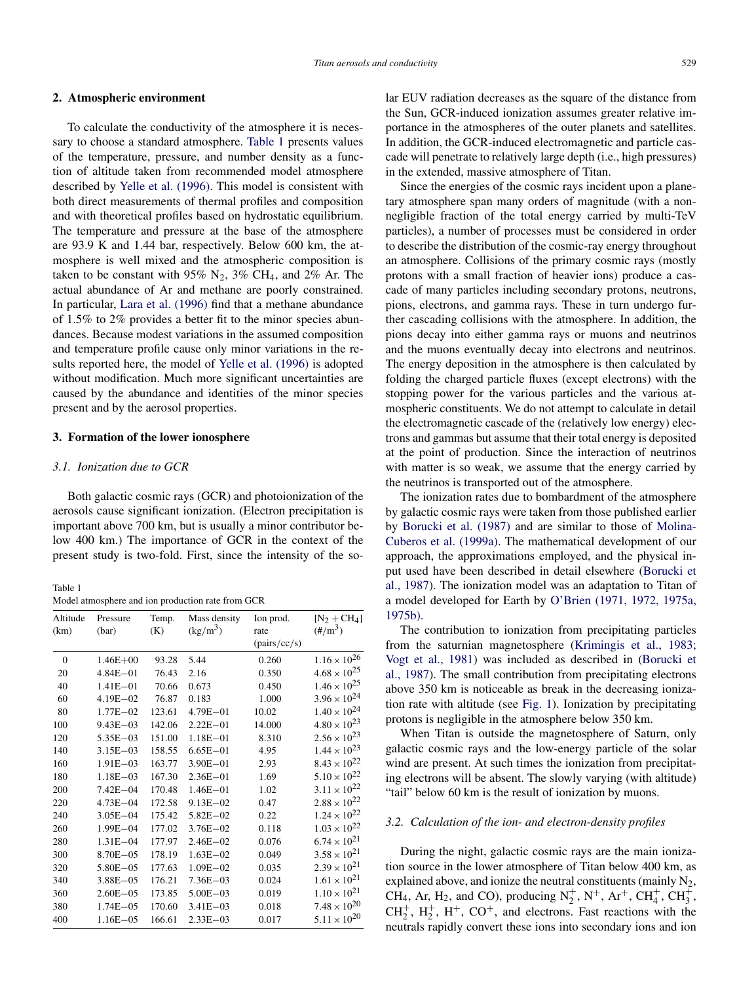#### **2. Atmospheric environment**

To calculate the conductivity of the atmosphere it is necessary to choose a standard atmosphere. Table 1 presents values of the temperature, pressure, and number density as a function of altitude taken from recommended model atmosphere described by [Yelle et al. \(1996\).](#page-17-0) This model is consistent with both direct measurements of thermal profiles and composition and with theoretical profiles based on hydrostatic equilibrium. The temperature and pressure at the base of the atmosphere are 93.9 K and 1.44 bar, respectively. Below 600 km, the atmosphere is well mixed and the atmospheric composition is taken to be constant with 95%  $N_2$ , 3% CH<sub>4</sub>, and 2% Ar. The actual abundance of Ar and methane are poorly constrained. In particular, [Lara et al. \(1996\)](#page-16-0) find that a methane abundance of 1.5% to 2% provides a better fit to the minor species abundances. Because modest variations in the assumed composition and temperature profile cause only minor variations in the results reported here, the model of [Yelle et al. \(1996\)](#page-17-0) is adopted without modification. Much more significant uncertainties are caused by the abundance and identities of the minor species present and by the aerosol properties.

#### **3. Formation of the lower ionosphere**

#### *3.1. Ionization due to GCR*

Both galactic cosmic rays (GCR) and photoionization of the aerosols cause significant ionization. (Electron precipitation is important above 700 km, but is usually a minor contributor below 400 km.) The importance of GCR in the context of the present study is two-fold. First, since the intensity of the so-

Table 1

Model atmosphere and ion production rate from GCR

| Altitude | Pressure     | Temp.  | Mass density | Ion prod.    | $[N_2 + CH_4]$                  |
|----------|--------------|--------|--------------|--------------|---------------------------------|
| (km)     | (bar)        | (K)    | $(kg/m^3)$   | rate         | $(\frac{\text{H}}{\text{m}^3})$ |
|          |              |        |              | (pairs/cc/s) |                                 |
| $\Omega$ | $1.46E + 00$ | 93.28  | 5.44         | 0.260        | $1.16 \times 10^{26}$           |
| 20       | $4.84E - 01$ | 76.43  | 2.16         | 0.350        | $4.68 \times 10^{25}$           |
| 40       | $1.41E - 01$ | 70.66  | 0.673        | 0.450        | $1.46 \times 10^{25}$           |
| 60       | $4.19E - 02$ | 76.87  | 0.183        | 1.000        | $3.96 \times 10^{24}$           |
| 80       | $1.77E - 02$ | 123.61 | $4.79E - 01$ | 10.02        | $1.40 \times 10^{24}$           |
| 100      | $9.43E - 03$ | 142.06 | $2.22E - 01$ | 14.000       | $4.80 \times 10^{23}$           |
| 120      | $5.35E - 03$ | 151.00 | $1.18E - 01$ | 8.310        | $2.56 \times 10^{23}$           |
| 140      | $3.15E - 03$ | 158.55 | $6.65E - 01$ | 4.95         | $1.44 \times 10^{23}$           |
| 160      | $1.91E - 03$ | 163.77 | $3.90E - 01$ | 2.93         | $8.43 \times 10^{22}$           |
| 180      | $1.18E - 03$ | 167.30 | $2.36E - 01$ | 1.69         | $5.10 \times 10^{22}$           |
| 200      | $7.42E - 04$ | 170.48 | $1.46E - 01$ | 1.02         | $3.11 \times 10^{22}$           |
| 220      | $4.73E - 04$ | 172.58 | $9.13E - 02$ | 0.47         | $2.88 \times 10^{22}$           |
| 240      | $3.05E - 04$ | 175.42 | $5.82E - 02$ | 0.22         | $1.24 \times 10^{22}$           |
| 260      | $1.99E - 04$ | 177.02 | $3.76E - 02$ | 0.118        | $1.03 \times 10^{22}$           |
| 280      | $1.31E - 04$ | 177.97 | $2.46E - 02$ | 0.076        | $6.74 \times 10^{21}$           |
| 300      | $8.70E - 05$ | 178.19 | $1.63E - 02$ | 0.049        | $3.58 \times 10^{21}$           |
| 320      | $5.80E - 05$ | 177.63 | $1.09E - 02$ | 0.035        | $2.39 \times 10^{21}$           |
| 340      | $3.88E - 05$ | 176.21 | $7.36E - 03$ | 0.024        | $1.61 \times 10^{21}$           |
| 360      | $2.60E - 05$ | 173.85 | $5.00E - 03$ | 0.019        | $1.10 \times 10^{21}$           |
| 380      | $1.74E - 05$ | 170.60 | $3.41E - 03$ | 0.018        | $7.48 \times 10^{20}$           |
| 400      | $1.16E - 05$ | 166.61 | $2.33E - 03$ | 0.017        | $5.11 \times 10^{20}$           |

lar EUV radiation decreases as the square of the distance from the Sun, GCR-induced ionization assumes greater relative importance in the atmospheres of the outer planets and satellites. In addition, the GCR-induced electromagnetic and particle cascade will penetrate to relatively large depth (i.e., high pressures) in the extended, massive atmosphere of Titan.

Since the energies of the cosmic rays incident upon a planetary atmosphere span many orders of magnitude (with a nonnegligible fraction of the total energy carried by multi-TeV particles), a number of processes must be considered in order to describe the distribution of the cosmic-ray energy throughout an atmosphere. Collisions of the primary cosmic rays (mostly protons with a small fraction of heavier ions) produce a cascade of many particles including secondary protons, neutrons, pions, electrons, and gamma rays. These in turn undergo further cascading collisions with the atmosphere. In addition, the pions decay into either gamma rays or muons and neutrinos and the muons eventually decay into electrons and neutrinos. The energy deposition in the atmosphere is then calculated by folding the charged particle fluxes (except electrons) with the stopping power for the various particles and the various atmospheric constituents. We do not attempt to calculate in detail the electromagnetic cascade of the (relatively low energy) electrons and gammas but assume that their total energy is deposited at the point of production. Since the interaction of neutrinos with matter is so weak, we assume that the energy carried by the neutrinos is transported out of the atmosphere.

The ionization rates due to bombardment of the atmosphere by galactic cosmic rays were taken from those published earlier by [Borucki et al. \(1987\)](#page-16-0) and are similar to those of [Molina-](#page-16-0)[Cuberos et al. \(1999a\).](#page-16-0) The mathematical development of our approach, the approximations employed, and the physical input used have been described in detail elsewhere [\(Borucki et](#page-16-0) [al., 1987\)](#page-16-0). The ionization model was an adaptation to Titan of a model developed for Earth by [O'Brien \(1971, 1972, 1975a,](#page-16-0) [1975b\).](#page-16-0)

The contribution to ionization from precipitating particles from the saturnian magnetosphere [\(Krimingis et al., 1983;](#page-16-0) [Vogt et al., 1981\)](#page-16-0) was included as described in [\(Borucki et](#page-16-0) [al., 1987\)](#page-16-0). The small contribution from precipitating electrons above 350 km is noticeable as break in the decreasing ionization rate with altitude (see [Fig. 1\)](#page-3-0). Ionization by precipitating protons is negligible in the atmosphere below 350 km.

When Titan is outside the magnetosphere of Saturn, only galactic cosmic rays and the low-energy particle of the solar wind are present. At such times the ionization from precipitating electrons will be absent. The slowly varying (with altitude) "tail" below 60 km is the result of ionization by muons.

#### *3.2. Calculation of the ion- and electron-density profiles*

During the night, galactic cosmic rays are the main ionization source in the lower atmosphere of Titan below 400 km, as explained above, and ionize the neutral constituents (mainly  $N_2$ , CH<sub>4</sub>, Ar, H<sub>2</sub>, and CO), producing  $N_2^+$ ,  $N^+$ ,  $Ar^+$ ,  $CH_4^+$ ,  $CH_3^+$ ,  $CH_2^+$ ,  $H_2^+$ ,  $H_1^+$ ,  $CO^+$ , and electrons. Fast reactions with the neutrals rapidly convert these ions into secondary ions and ion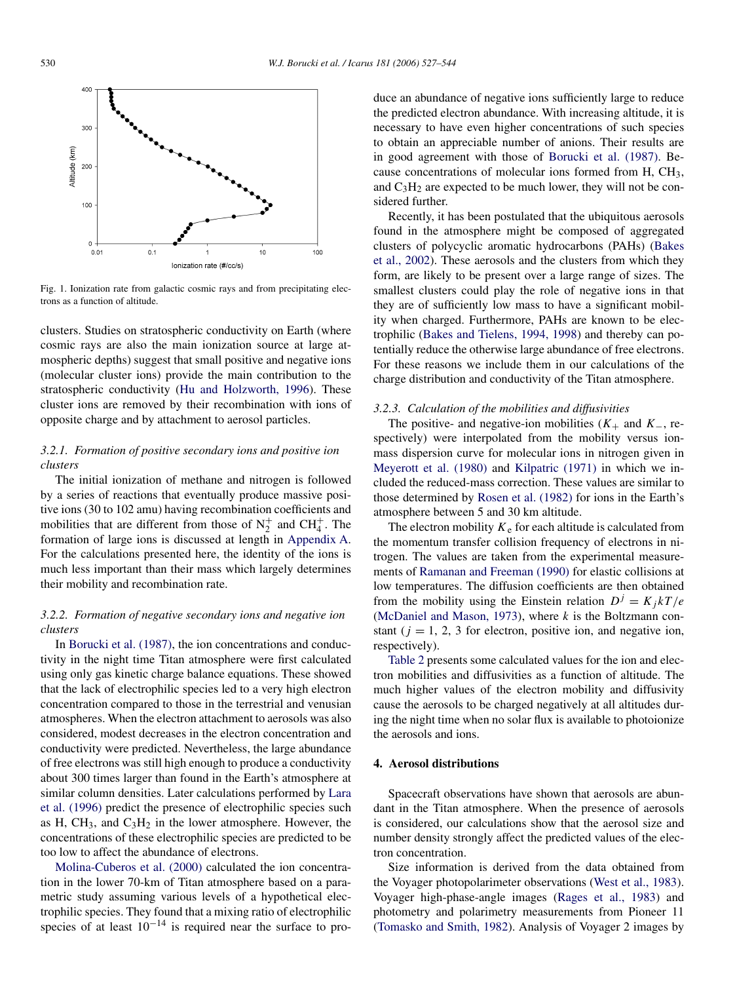<span id="page-3-0"></span>

Fig. 1. Ionization rate from galactic cosmic rays and from precipitating electrons as a function of altitude.

clusters. Studies on stratospheric conductivity on Earth (where cosmic rays are also the main ionization source at large atmospheric depths) suggest that small positive and negative ions (molecular cluster ions) provide the main contribution to the stratospheric conductivity [\(Hu and Holzworth, 1996\)](#page-16-0). These cluster ions are removed by their recombination with ions of opposite charge and by attachment to aerosol particles.

# *3.2.1. Formation of positive secondary ions and positive ion clusters*

The initial ionization of methane and nitrogen is followed by a series of reactions that eventually produce massive positive ions (30 to 102 amu) having recombination coefficients and mobilities that are different from those of  $N_2^+$  and  $CH_4^+$ . The formation of large ions is discussed at length in [Appendix A.](#page-14-0) For the calculations presented here, the identity of the ions is much less important than their mass which largely determines their mobility and recombination rate.

# *3.2.2. Formation of negative secondary ions and negative ion clusters*

In [Borucki et al. \(1987\),](#page-16-0) the ion concentrations and conductivity in the night time Titan atmosphere were first calculated using only gas kinetic charge balance equations. These showed that the lack of electrophilic species led to a very high electron concentration compared to those in the terrestrial and venusian atmospheres. When the electron attachment to aerosols was also considered, modest decreases in the electron concentration and conductivity were predicted. Nevertheless, the large abundance of free electrons was still high enough to produce a conductivity about 300 times larger than found in the Earth's atmosphere at similar column densities. Later calculations performed by [Lara](#page-16-0) [et al. \(1996\)](#page-16-0) predict the presence of electrophilic species such as H,  $CH<sub>3</sub>$ , and  $C<sub>3</sub>H<sub>2</sub>$  in the lower atmosphere. However, the concentrations of these electrophilic species are predicted to be too low to affect the abundance of electrons.

[Molina-Cuberos et al. \(2000\)](#page-16-0) calculated the ion concentration in the lower 70-km of Titan atmosphere based on a parametric study assuming various levels of a hypothetical electrophilic species. They found that a mixing ratio of electrophilic species of at least  $10^{-14}$  is required near the surface to produce an abundance of negative ions sufficiently large to reduce the predicted electron abundance. With increasing altitude, it is necessary to have even higher concentrations of such species to obtain an appreciable number of anions. Their results are in good agreement with those of [Borucki et al. \(1987\).](#page-16-0) Because concentrations of molecular ions formed from H, CH3, and  $C_3H_2$  are expected to be much lower, they will not be considered further.

Recently, it has been postulated that the ubiquitous aerosols found in the atmosphere might be composed of aggregated clusters of polycyclic aromatic hydrocarbons (PAHs) [\(Bakes](#page-16-0) [et al., 2002\)](#page-16-0). These aerosols and the clusters from which they form, are likely to be present over a large range of sizes. The smallest clusters could play the role of negative ions in that they are of sufficiently low mass to have a significant mobility when charged. Furthermore, PAHs are known to be electrophilic [\(Bakes and Tielens, 1994, 1998\)](#page-16-0) and thereby can potentially reduce the otherwise large abundance of free electrons. For these reasons we include them in our calculations of the charge distribution and conductivity of the Titan atmosphere.

#### *3.2.3. Calculation of the mobilities and diffusivities*

The positive- and negative-ion mobilities ( $K_+$  and  $K_-,$  respectively) were interpolated from the mobility versus ionmass dispersion curve for molecular ions in nitrogen given in [Meyerott et al. \(1980\)](#page-16-0) and [Kilpatric \(1971\)](#page-16-0) in which we included the reduced-mass correction. These values are similar to those determined by [Rosen et al. \(1982\)](#page-17-0) for ions in the Earth's atmosphere between 5 and 30 km altitude.

The electron mobility  $K<sub>e</sub>$  for each altitude is calculated from the momentum transfer collision frequency of electrons in nitrogen. The values are taken from the experimental measurements of [Ramanan and Freeman \(1990\)](#page-17-0) for elastic collisions at low temperatures. The diffusion coefficients are then obtained from the mobility using the Einstein relation  $D^j = K_j kT/e$ [\(McDaniel and Mason, 1973\)](#page-16-0), where *k* is the Boltzmann constant  $(j = 1, 2, 3$  for electron, positive ion, and negative ion, respectively).

[Table 2](#page-4-0) presents some calculated values for the ion and electron mobilities and diffusivities as a function of altitude. The much higher values of the electron mobility and diffusivity cause the aerosols to be charged negatively at all altitudes during the night time when no solar flux is available to photoionize the aerosols and ions.

# **4. Aerosol distributions**

Spacecraft observations have shown that aerosols are abundant in the Titan atmosphere. When the presence of aerosols is considered, our calculations show that the aerosol size and number density strongly affect the predicted values of the electron concentration.

Size information is derived from the data obtained from the Voyager photopolarimeter observations [\(West et al., 1983\)](#page-17-0). Voyager high-phase-angle images [\(Rages et al., 1983\)](#page-17-0) and photometry and polarimetry measurements from Pioneer 11 [\(Tomasko and Smith, 1982\)](#page-17-0). Analysis of Voyager 2 images by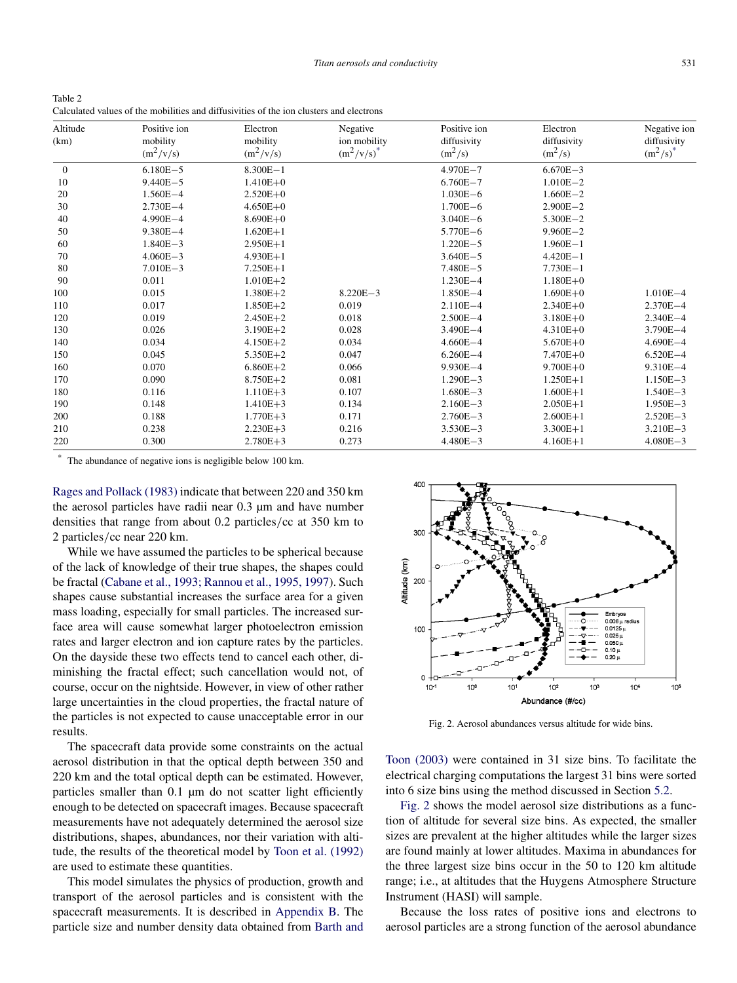<span id="page-4-0"></span>

| Table 2                                                                                 |  |
|-----------------------------------------------------------------------------------------|--|
| Calculated values of the mobilities and diffusivities of the ion clusters and electrons |  |

| Altitude     | Positive ion | Electron     | Negative      | Positive ion | Electron     | Negative ion |
|--------------|--------------|--------------|---------------|--------------|--------------|--------------|
| (km)         | mobility     | mobility     | ion mobility  | diffusivity  | diffusivity  | diffusivity  |
|              | $(m^2/v/s)$  | $(m^2/v/s)$  | $(m^2/v/s)^*$ | $(m^2/s)$    | $(m^2/s)$    | $(m^2/s)^*$  |
| $\mathbf{0}$ | $6.180E - 5$ | $8.300E - 1$ |               | $4.970E - 7$ | $6.670E - 3$ |              |
| 10           | $9.440E - 5$ | $1.410E + 0$ |               | $6.760E - 7$ | $1.010E - 2$ |              |
| 20           | $1.560E - 4$ | $2.520E + 0$ |               | $1.030E - 6$ | $1.660E - 2$ |              |
| 30           | $2.730E - 4$ | $4.650E + 0$ |               | $1.700E - 6$ | $2.900E - 2$ |              |
| 40           | 4.990E-4     | $8.690E + 0$ |               | $3.040E - 6$ | $5.300E - 2$ |              |
| 50           | $9.380E - 4$ | $1.620E + 1$ |               | $5.770E - 6$ | $9.960E - 2$ |              |
| 60           | $1.840E - 3$ | $2.950E+1$   |               | $1.220E - 5$ | $1.960E - 1$ |              |
| 70           | $4.060E - 3$ | $4.930E + 1$ |               | $3.640E - 5$ | $4.420E - 1$ |              |
| 80           | $7.010E - 3$ | $7.250E + 1$ |               | $7.480E - 5$ | $7.730E - 1$ |              |
| 90           | 0.011        | $1.010E + 2$ |               | $1.230E - 4$ | $1.180E + 0$ |              |
| 100          | 0.015        | $1.380E + 2$ | $8.220E - 3$  | $1.850E - 4$ | $1.690E + 0$ | $1.010E - 4$ |
| 110          | 0.017        | $1.850E + 2$ | 0.019         | $2.110E - 4$ | $2.340E + 0$ | $2.370E - 4$ |
| 120          | 0.019        | $2.450E + 2$ | 0.018         | $2.500E - 4$ | $3.180E + 0$ | $2.340E - 4$ |
| 130          | 0.026        | $3.190E + 2$ | 0.028         | $3.490E - 4$ | $4.310E + 0$ | $3.790E - 4$ |
| 140          | 0.034        | $4.150E + 2$ | 0.034         | $4.660E - 4$ | $5.670E + 0$ | $4.690E - 4$ |
| 150          | 0.045        | $5.350E + 2$ | 0.047         | $6.260E - 4$ | $7.470E + 0$ | $6.520E - 4$ |
| 160          | 0.070        | $6.860E + 2$ | 0.066         | $9.930E - 4$ | $9.700E + 0$ | $9.310E - 4$ |
| 170          | 0.090        | $8.750E + 2$ | 0.081         | $1.290E - 3$ | $1.250E + 1$ | $1.150E - 3$ |
| 180          | 0.116        | $1.110E + 3$ | 0.107         | $1.680E - 3$ | $1.600E + 1$ | $1.540E - 3$ |
| 190          | 0.148        | $1.410E + 3$ | 0.134         | $2.160E - 3$ | $2.050E + 1$ | $1.950E - 3$ |
| 200          | 0.188        | $1.770E + 3$ | 0.171         | $2.760E - 3$ | $2.600E + 1$ | $2.520E - 3$ |
| 210          | 0.238        | $2.230E + 3$ | 0.216         | $3.530E - 3$ | $3.300E + 1$ | $3.210E - 3$ |
| 220          | 0.300        | $2.780E + 3$ | 0.273         | $4.480E - 3$ | $4.160E + 1$ | $4.080E - 3$ |

The abundance of negative ions is negligible below 100 km.

[Rages and Pollack \(1983\)](#page-17-0) indicate that between 220 and 350 km the aerosol particles have radii near 0.3 µm and have number densities that range from about 0.2 particles*/*cc at 350 km to 2 particles*/*cc near 220 km.

While we have assumed the particles to be spherical because of the lack of knowledge of their true shapes, the shapes could be fractal [\(Cabane et al., 1993; Rannou et al., 1995, 1997\)](#page-16-0). Such shapes cause substantial increases the surface area for a given mass loading, especially for small particles. The increased surface area will cause somewhat larger photoelectron emission rates and larger electron and ion capture rates by the particles. On the dayside these two effects tend to cancel each other, diminishing the fractal effect; such cancellation would not, of course, occur on the nightside. However, in view of other rather large uncertainties in the cloud properties, the fractal nature of the particles is not expected to cause unacceptable error in our results.

The spacecraft data provide some constraints on the actual aerosol distribution in that the optical depth between 350 and 220 km and the total optical depth can be estimated. However, particles smaller than 0.1 µm do not scatter light efficiently enough to be detected on spacecraft images. Because spacecraft measurements have not adequately determined the aerosol size distributions, shapes, abundances, nor their variation with altitude, the results of the theoretical model by [Toon et al. \(1992\)](#page-17-0) are used to estimate these quantities.

This model simulates the physics of production, growth and transport of the aerosol particles and is consistent with the spacecraft measurements. It is described in [Appendix B.](#page-15-0) The particle size and number density data obtained from [Barth and](#page-16-0)



Fig. 2. Aerosol abundances versus altitude for wide bins.

[Toon \(2003\)](#page-16-0) were contained in 31 size bins. To facilitate the electrical charging computations the largest 31 bins were sorted into 6 size bins using the method discussed in Section [5.2.](#page-7-0)

Fig. 2 shows the model aerosol size distributions as a function of altitude for several size bins. As expected, the smaller sizes are prevalent at the higher altitudes while the larger sizes are found mainly at lower altitudes. Maxima in abundances for the three largest size bins occur in the 50 to 120 km altitude range; i.e., at altitudes that the Huygens Atmosphere Structure Instrument (HASI) will sample.

Because the loss rates of positive ions and electrons to aerosol particles are a strong function of the aerosol abundance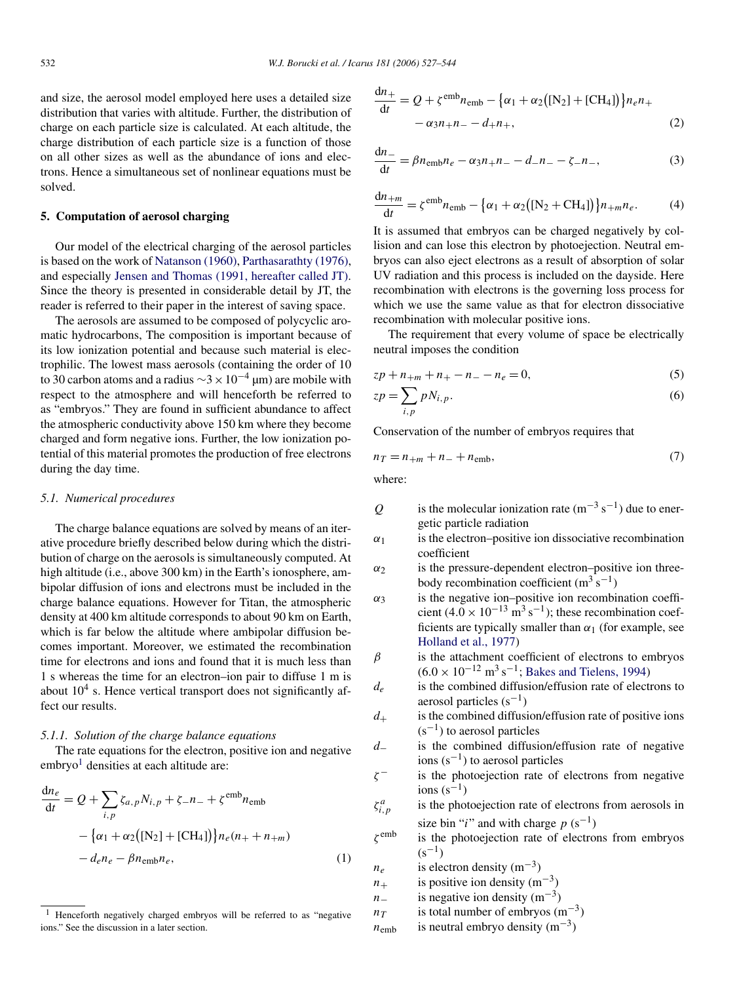<span id="page-5-0"></span>and size, the aerosol model employed here uses a detailed size distribution that varies with altitude. Further, the distribution of charge on each particle size is calculated. At each altitude, the charge distribution of each particle size is a function of those on all other sizes as well as the abundance of ions and electrons. Hence a simultaneous set of nonlinear equations must be solved.

# **5. Computation of aerosol charging**

Our model of the electrical charging of the aerosol particles is based on the work of [Natanson \(1960\),](#page-16-0) [Parthasarathty \(1976\),](#page-17-0) and especially [Jensen and Thomas \(1991, hereafter called JT\).](#page-16-0) Since the theory is presented in considerable detail by JT, the reader is referred to their paper in the interest of saving space.

The aerosols are assumed to be composed of polycyclic aromatic hydrocarbons, The composition is important because of its low ionization potential and because such material is electrophilic. The lowest mass aerosols (containing the order of 10 to 30 carbon atoms and a radius  $\sim$ 3 × 10<sup>-4</sup> µm) are mobile with respect to the atmosphere and will henceforth be referred to as "embryos." They are found in sufficient abundance to affect the atmospheric conductivity above 150 km where they become charged and form negative ions. Further, the low ionization potential of this material promotes the production of free electrons during the day time.

## *5.1. Numerical procedures*

The charge balance equations are solved by means of an iterative procedure briefly described below during which the distribution of charge on the aerosols is simultaneously computed. At high altitude (i.e., above 300 km) in the Earth's ionosphere, ambipolar diffusion of ions and electrons must be included in the charge balance equations. However for Titan, the atmospheric density at 400 km altitude corresponds to about 90 km on Earth, which is far below the altitude where ambipolar diffusion becomes important. Moreover, we estimated the recombination time for electrons and ions and found that it is much less than 1 s whereas the time for an electron–ion pair to diffuse 1 m is about  $10^4$  s. Hence vertical transport does not significantly affect our results.

#### *5.1.1. Solution of the charge balance equations*

The rate equations for the electron, positive ion and negative  $embryo<sup>1</sup>$  densities at each altitude are:

$$
\frac{dn_e}{dt} = Q + \sum_{i,p} \zeta_{a,p} N_{i,p} + \zeta_{-}n_{-} + \zeta^{\text{emb}} n_{\text{emb}}
$$

$$
- \{\alpha_1 + \alpha_2([\mathbf{N}_2] + [\mathbf{C}\mathbf{H}_4])\} n_e (n_+ + n_{+m})
$$

$$
- d_e n_e - \beta n_{\text{emb}} n_e,
$$
(1)

$$
\frac{dn_{+}}{dt} = Q + \zeta^{\text{emb}} n_{\text{emb}} - {\alpha_{1} + \alpha_{2} ([N_{2}] + [CH_{4}])} n_{e} n_{+}
$$
  
- \alpha\_{3} n\_{+} n\_{-} - d\_{+} n\_{+}, (2)

$$
\frac{dn_{-}}{dt} = \beta n_{\rm emb} n_e - \alpha_3 n_+ n_- - d_- n_- - \zeta_- n_-\,,\tag{3}
$$

$$
\frac{\mathrm{d}n_{+m}}{\mathrm{d}t} = \zeta^{\text{emb}} n_{\text{emb}} - \left\{ \alpha_1 + \alpha_2 \left( \left[ \mathbf{N}_2 + \mathbf{C} \mathbf{H}_4 \right] \right) \right\} n_{+m} n_e. \tag{4}
$$

It is assumed that embryos can be charged negatively by collision and can lose this electron by photoejection. Neutral embryos can also eject electrons as a result of absorption of solar UV radiation and this process is included on the dayside. Here recombination with electrons is the governing loss process for which we use the same value as that for electron dissociative recombination with molecular positive ions.

The requirement that every volume of space be electrically neutral imposes the condition

$$
zp + n_{+m} + n_{+} - n_{-} - n_{e} = 0,
$$
\n(5)

$$
zp = \sum_{i,p} pN_{i,p}.\tag{6}
$$

Conservation of the number of embryos requires that

$$
n_T = n_{+m} + n_- + n_{\rm emb},\tag{7}
$$

where:

- *Q* is the molecular ionization rate  $(m^{-3} s^{-1})$  due to energetic particle radiation
- $\alpha_1$  is the electron–positive ion dissociative recombination coefficient
- $\alpha_2$  is the pressure-dependent electron–positive ion threebody recombination coefficient  $(m^3 s^{-1})$
- $\alpha_3$  is the negative ion–positive ion recombination coefficient  $(4.0 \times 10^{-13} \text{ m}^3 \text{ s}^{-1})$ ; these recombination coefficients are typically smaller than  $\alpha_1$  (for example, see [Holland et al., 1977\)](#page-16-0)
- *β* is the attachment coefficient of electrons to embryos  $(6.0 \times 10^{-12} \text{ m}^3 \text{ s}^{-1})$ ; [Bakes and Tielens, 1994\)](#page-16-0)
- *de* is the combined diffusion/effusion rate of electrons to aerosol particles  $(s^{-1})$
- $d_{+}$  is the combined diffusion/effusion rate of positive ions  $(s^{-1})$  to aerosol particles
- *d*− is the combined diffusion/effusion rate of negative ions  $(s^{-1})$  to aerosol particles
- *ζ* − is the photoejection rate of electrons from negative ions  $(s^{-1})$
- $\zeta_{i.}^a$ *is the photoejection rate of electrons from aerosols in* size bin "*i*" and with charge  $p(s^{-1})$
- *ζ* emb is the photoejection rate of electrons from embryos  $(s^{-1})$
- *n<sub>e</sub>* is electron density (m<sup>−3</sup>)
- *n*+ is positive ion density (m<sup>-3</sup>)<br>*n*\_ is negative ion density (m<sup>-3</sup>)
- is negative ion density  $(m^{-3})$
- $n_T$  is total number of embryos (m<sup>-3</sup>)
- $n_{\text{emb}}$  is neutral embryo density (m<sup>-3</sup>)

<sup>1</sup> Henceforth negatively charged embryos will be referred to as "negative ions." See the discussion in a later section.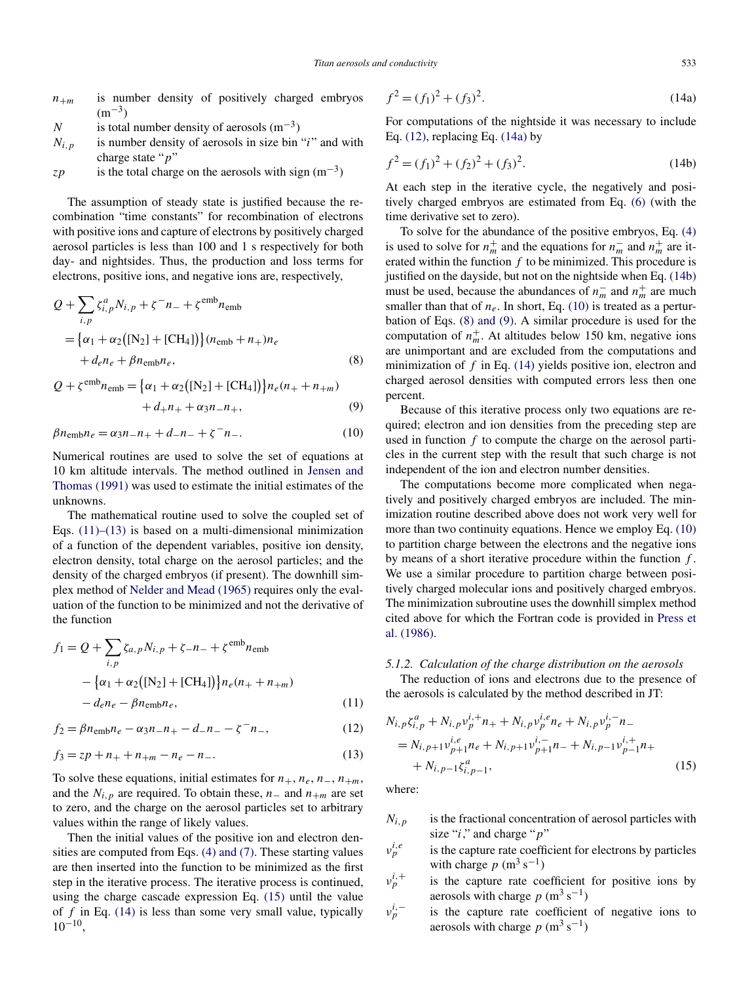- <span id="page-6-0"></span> $n_{+m}$  is number density of positively charged embryos  $(m^{-3})$
- *N* is total number density of aerosols  $(m^{-3})$
- $N_{i,p}$  is number density of aerosols in size bin "*i*" and with charge state "*p*"
- *zp* is the total charge on the aerosols with sign (m<sup>−3</sup>)

The assumption of steady state is justified because the recombination "time constants" for recombination of electrons with positive ions and capture of electrons by positively charged aerosol particles is less than 100 and 1 s respectively for both day- and nightsides. Thus, the production and loss terms for electrons, positive ions, and negative ions are, respectively,

$$
Q + \sum_{i,p} \zeta_{i,p}^{a} N_{i,p} + \zeta^{-} n_{-} + \zeta^{\text{emb}} n_{\text{emb}}
$$
  
= { $\alpha_1 + \alpha_2 ([N_2] + [CH_4])$ }  $(n_{\text{emb}} + n_{+}) n_e$   
+  $d_e n_e + \beta n_{\text{emb}} n_e$ , (8)

$$
Q + \zeta^{\text{emb}} n_{\text{emb}} = {\alpha_1 + \alpha_2 ([N_2] + [CH_4])} n_e (n_+ + n_{+m})
$$
  
+  $d_+ n_+ + \alpha_3 n_- n_+$ , (9)

$$
\beta n_{\rm emb} n_e = \alpha_3 n_- n_+ + d_- n_- + \zeta^- n_-.
$$
 (10)

Numerical routines are used to solve the set of equations at 10 km altitude intervals. The method outlined in [Jensen and](#page-16-0) [Thomas \(1991\)](#page-16-0) was used to estimate the initial estimates of the unknowns.

The mathematical routine used to solve the coupled set of Eqs.  $(11)$ – $(13)$  is based on a multi-dimensional minimization of a function of the dependent variables, positive ion density, electron density, total charge on the aerosol particles; and the density of the charged embryos (if present). The downhill simplex method of [Nelder and Mead \(1965\)](#page-16-0) requires only the evaluation of the function to be minimized and not the derivative of the function

$$
f_1 = Q + \sum_{i,p} \zeta_{a,p} N_{i,p} + \zeta_{-} n_{-} + \zeta^{\text{emb}} n_{\text{emb}}
$$
  
- { $\alpha_1 + \alpha_2 ([N_2] + [CH_4])$ }  $n_e (n_+ + n_{+m})$   
-  $d_e n_e - \beta n_{\text{emb}} n_e,$  (11)

$$
f_2 = \beta n_{\rm emb} n_e - \alpha_3 n_- n_+ - d_- n_- - \zeta^- n_-, \tag{12}
$$

$$
f_3 = zp + n_+ + n_{+m} - n_e - n_-.
$$
 (13)

To solve these equations, initial estimates for  $n_+$ ,  $n_e$ ,  $n_-, n_{+m}$ , and the  $N_{i,p}$  are required. To obtain these,  $n_$  and  $n_{+m}$  are set to zero, and the charge on the aerosol particles set to arbitrary values within the range of likely values.

Then the initial values of the positive ion and electron densities are computed from Eqs. [\(4\) and \(7\).](#page-5-0) These starting values are then inserted into the function to be minimized as the first step in the iterative process. The iterative process is continued, using the charge cascade expression Eq. (15) until the value of *f* in Eq. (14) is less than some very small value, typically  $10^{-10}$ ,

$$
f^2 = (f_1)^2 + (f_3)^2.
$$
 (14a)

For computations of the nightside it was necessary to include Eq.  $(12)$ , replacing Eq.  $(14a)$  by

$$
f^{2} = (f_{1})^{2} + (f_{2})^{2} + (f_{3})^{2}.
$$
 (14b)

At each step in the iterative cycle, the negatively and positively charged embryos are estimated from Eq. [\(6\)](#page-5-0) (with the time derivative set to zero).

To solve for the abundance of the positive embryos, Eq. [\(4\)](#page-5-0) is used to solve for  $n_m^+$  and the equations for  $n_m^-$  and  $n_m^+$  are iterated within the function *f* to be minimized. This procedure is justified on the dayside, but not on the nightside when Eq. (14b) must be used, because the abundances of  $n_m^-$  and  $n_m^+$  are much smaller than that of  $n_e$ . In short, Eq. (10) is treated as a perturbation of Eqs. (8) and (9). A similar procedure is used for the computation of  $n_m^+$ . At altitudes below 150 km, negative ions are unimportant and are excluded from the computations and minimization of *f* in Eq. (14) yields positive ion, electron and charged aerosol densities with computed errors less then one percent.

Because of this iterative process only two equations are required; electron and ion densities from the preceding step are used in function *f* to compute the charge on the aerosol particles in the current step with the result that such charge is not independent of the ion and electron number densities.

The computations become more complicated when negatively and positively charged embryos are included. The minimization routine described above does not work very well for more than two continuity equations. Hence we employ Eq. (10) to partition charge between the electrons and the negative ions by means of a short iterative procedure within the function *f* . We use a similar procedure to partition charge between positively charged molecular ions and positively charged embryos. The minimization subroutine uses the downhill simplex method cited above for which the Fortran code is provided in [Press et](#page-17-0) [al. \(1986\).](#page-17-0)

#### *5.1.2. Calculation of the charge distribution on the aerosols*

The reduction of ions and electrons due to the presence of the aerosols is calculated by the method described in JT:

$$
N_{i,p} \zeta_{i,p}^{a} + N_{i,p} \nu_{p}^{i,+} n_{+} + N_{i,p} \nu_{p}^{i,e} n_{e} + N_{i,p} \nu_{p}^{i,-} n_{-}
$$
  
=  $N_{i,p+1} \nu_{p+1}^{i,e} n_{e} + N_{i,p+1} \nu_{p+1}^{i,-} n_{-} + N_{i,p-1} \nu_{p-1}^{i,+} n_{+}$   
+  $N_{i,p-1} \zeta_{i,p-1}^{a}$ , (15)

where:

- $N_{i,p}$  is the fractional concentration of aerosol particles with size "*i*," and charge "*p*"
- *νi,e is the capture rate coefficient for electrons by particles* with charge  $p(m^3 s^{-1})$
- *νi,*<sup>+</sup> is the capture rate coefficient for positive ions by aerosols with charge  $p(m^3 s^{-1})$
- *νi,*<sup>−</sup> is the capture rate coefficient of negative ions to aerosols with charge  $p(m^3 s^{-1})$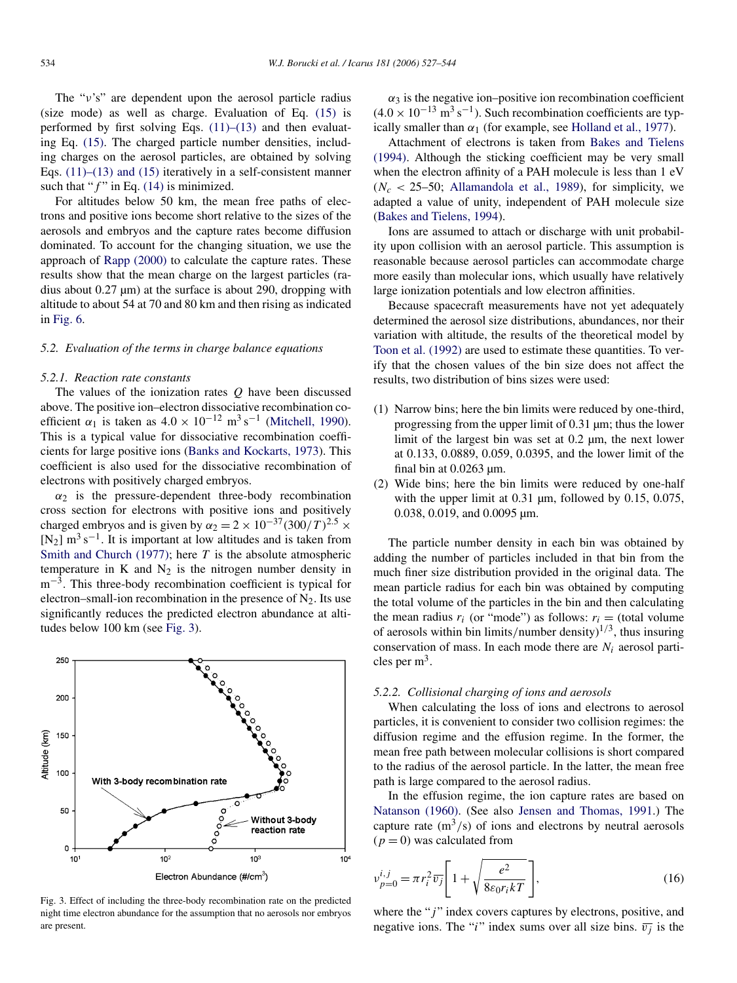<span id="page-7-0"></span>The "*ν*'s" are dependent upon the aerosol particle radius (size mode) as well as charge. Evaluation of Eq. [\(15\)](#page-6-0) is performed by first solving Eqs.  $(11)$ – $(13)$  and then evaluating Eq. [\(15\).](#page-6-0) The charged particle number densities, including charges on the aerosol particles, are obtained by solving Eqs. [\(11\)–\(13\) and \(15\)](#page-6-0) iteratively in a self-consistent manner such that " $f$ " in Eq. [\(14\)](#page-6-0) is minimized.

For altitudes below 50 km, the mean free paths of electrons and positive ions become short relative to the sizes of the aerosols and embryos and the capture rates become diffusion dominated. To account for the changing situation, we use the approach of [Rapp \(2000\)](#page-17-0) to calculate the capture rates. These results show that the mean charge on the largest particles (radius about 0.27 µm) at the surface is about 290, dropping with altitude to about 54 at 70 and 80 km and then rising as indicated in [Fig. 6.](#page-11-0)

## *5.2. Evaluation of the terms in charge balance equations*

#### *5.2.1. Reaction rate constants*

The values of the ionization rates *Q* have been discussed above. The positive ion–electron dissociative recombination coefficient  $\alpha_1$  is taken as  $4.0 \times 10^{-12}$  m<sup>3</sup> s<sup>-1</sup> [\(Mitchell, 1990\)](#page-16-0). This is a typical value for dissociative recombination coefficients for large positive ions [\(Banks and Kockarts, 1973\)](#page-16-0). This coefficient is also used for the dissociative recombination of electrons with positively charged embryos.

 $\alpha_2$  is the pressure-dependent three-body recombination cross section for electrons with positive ions and positively charged embryos and is given by  $\alpha_2 = 2 \times 10^{-37} (300/T)^{2.5} \times$  $[N_2]$  m<sup>3</sup> s<sup>-1</sup>. It is important at low altitudes and is taken from [Smith and Church \(1977\);](#page-17-0) here *T* is the absolute atmospheric temperature in K and  $N_2$  is the nitrogen number density in m<sup>-3</sup>. This three-body recombination coefficient is typical for electron–small-ion recombination in the presence of  $N_2$ . Its use significantly reduces the predicted electron abundance at altitudes below 100 km (see Fig. 3).



Fig. 3. Effect of including the three-body recombination rate on the predicted night time electron abundance for the assumption that no aerosols nor embryos are present.

 $\alpha_3$  is the negative ion–positive ion recombination coefficient  $(4.0 \times 10^{-13} \text{ m}^3 \text{ s}^{-1})$ . Such recombination coefficients are typically smaller than  $\alpha_1$  (for example, see [Holland et al., 1977\)](#page-16-0).

Attachment of electrons is taken from [Bakes and Tielens](#page-16-0) [\(1994\).](#page-16-0) Although the sticking coefficient may be very small when the electron affinity of a PAH molecule is less than 1 eV  $(N_c < 25-50;$  [Allamandola et al., 1989\)](#page-16-0), for simplicity, we adapted a value of unity, independent of PAH molecule size [\(Bakes and Tielens, 1994\)](#page-16-0).

Ions are assumed to attach or discharge with unit probability upon collision with an aerosol particle. This assumption is reasonable because aerosol particles can accommodate charge more easily than molecular ions, which usually have relatively large ionization potentials and low electron affinities.

Because spacecraft measurements have not yet adequately determined the aerosol size distributions, abundances, nor their variation with altitude, the results of the theoretical model by [Toon et al. \(1992\)](#page-17-0) are used to estimate these quantities. To verify that the chosen values of the bin size does not affect the results, two distribution of bins sizes were used:

- (1) Narrow bins; here the bin limits were reduced by one-third, progressing from the upper limit of 0.31 µm; thus the lower limit of the largest bin was set at 0.2 um, the next lower at 0.133, 0.0889, 0.059, 0.0395, and the lower limit of the final bin at  $0.0263$  um.
- (2) Wide bins; here the bin limits were reduced by one-half with the upper limit at  $0.31$  um, followed by  $0.15$ ,  $0.075$ , 0.038, 0.019, and 0.0095 µm.

The particle number density in each bin was obtained by adding the number of particles included in that bin from the much finer size distribution provided in the original data. The mean particle radius for each bin was obtained by computing the total volume of the particles in the bin and then calculating the mean radius  $r_i$  (or "mode") as follows:  $r_i$  = (total volume of aerosols within bin limits/number density $1/3$ , thus insuring conservation of mass. In each mode there are *Ni* aerosol particles per  $m<sup>3</sup>$ .

# *5.2.2. Collisional charging of ions and aerosols*

When calculating the loss of ions and electrons to aerosol particles, it is convenient to consider two collision regimes: the diffusion regime and the effusion regime. In the former, the mean free path between molecular collisions is short compared to the radius of the aerosol particle. In the latter, the mean free path is large compared to the aerosol radius.

In the effusion regime, the ion capture rates are based on [Natanson \(1960\).](#page-16-0) (See also [Jensen and Thomas, 1991.](#page-16-0)) The capture rate  $(m^3/s)$  of ions and electrons by neutral aerosols  $(p = 0)$  was calculated from

$$
v_{p=0}^{i,j} = \pi r_i^2 \overline{v_j} \left[ 1 + \sqrt{\frac{e^2}{8\varepsilon_0 r_i kT}} \right],
$$
 (16)

where the "*j*" index covers captures by electrons, positive, and negative ions. The "*i*" index sums over all size bins.  $\overline{v_i}$  is the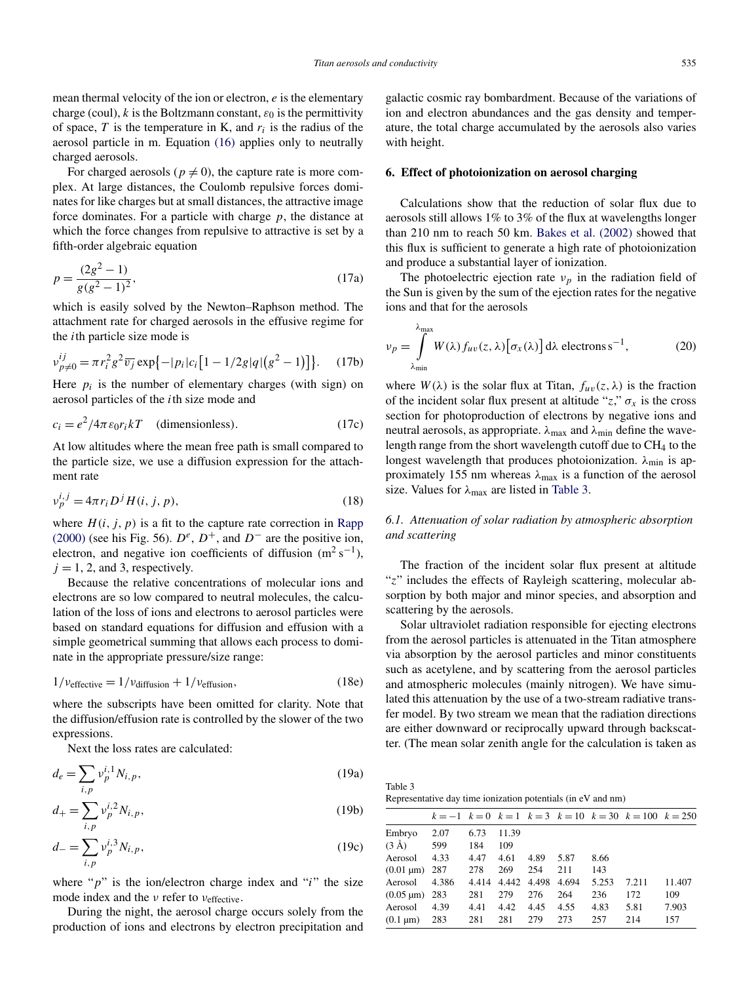<span id="page-8-0"></span>mean thermal velocity of the ion or electron, *e* is the elementary charge (coul), *k* is the Boltzmann constant,  $\varepsilon_0$  is the permittivity of space,  $T$  is the temperature in K, and  $r_i$  is the radius of the aerosol particle in m. Equation [\(16\)](#page-7-0) applies only to neutrally charged aerosols.

For charged aerosols ( $p \neq 0$ ), the capture rate is more complex. At large distances, the Coulomb repulsive forces dominates for like charges but at small distances, the attractive image force dominates. For a particle with charge *p*, the distance at which the force changes from repulsive to attractive is set by a fifth-order algebraic equation

$$
p = \frac{(2g^2 - 1)}{g(g^2 - 1)^2},
$$
\n(17a)

which is easily solved by the Newton–Raphson method. The attachment rate for charged aerosols in the effusive regime for the *i*th particle size mode is

$$
v_{p\neq 0}^{ij} = \pi r_i^2 g^2 \overline{v_j} \exp\{-|p_i|c_i[1 - 1/2g|q|(g^2 - 1)]\}.
$$
 (17b)

Here  $p_i$  is the number of elementary charges (with sign) on aerosol particles of the *i*th size mode and

$$
c_i = e^2 / 4\pi \varepsilon_0 r_i kT
$$
 (dimensionless). (17c)

At low altitudes where the mean free path is small compared to the particle size, we use a diffusion expression for the attachment rate

$$
v_p^{i,j} = 4\pi r_i D^j H(i, j, p),
$$
\n(18)

where  $H(i, j, p)$  is a fit to the capture rate correction in [Rapp](#page-17-0) [\(2000\)](#page-17-0) (see his Fig. 56).  $D^e$ ,  $D^+$ , and  $D^-$  are the positive ion, electron, and negative ion coefficients of diffusion  $(m^2 s^{-1})$ ,  $j = 1, 2$ , and 3, respectively.

Because the relative concentrations of molecular ions and electrons are so low compared to neutral molecules, the calculation of the loss of ions and electrons to aerosol particles were based on standard equations for diffusion and effusion with a simple geometrical summing that allows each process to dominate in the appropriate pressure/size range:

$$
1/\nu_{\text{effective}} = 1/\nu_{\text{diffusion}} + 1/\nu_{\text{effusion}},\tag{18e}
$$

where the subscripts have been omitted for clarity. Note that the diffusion/effusion rate is controlled by the slower of the two expressions.

Next the loss rates are calculated:

$$
d_e = \sum_{i,p} v_p^{i,1} N_{i,p},
$$
\n(19a)

$$
d_{+} = \sum_{i,p} v_p^{i,2} N_{i,p},
$$
\n(19b)

$$
d_{-} = \sum_{i,p} v_p^{i,3} N_{i,p},
$$
\n(19c)

where "*p*" is the ion/electron charge index and "*i*" the size mode index and the *ν* refer to *ν*effective.

During the night, the aerosol charge occurs solely from the production of ions and electrons by electron precipitation and galactic cosmic ray bombardment. Because of the variations of ion and electron abundances and the gas density and temperature, the total charge accumulated by the aerosols also varies with height.

## **6. Effect of photoionization on aerosol charging**

Calculations show that the reduction of solar flux due to aerosols still allows 1% to 3% of the flux at wavelengths longer than 210 nm to reach 50 km. [Bakes et al. \(2002\)](#page-16-0) showed that this flux is sufficient to generate a high rate of photoionization and produce a substantial layer of ionization.

The photoelectric ejection rate  $v_p$  in the radiation field of the Sun is given by the sum of the ejection rates for the negative ions and that for the aerosols

$$
\nu_p = \int_{\lambda_{\min}}^{\lambda_{\max}} W(\lambda) f_{uv}(z, \lambda) [\sigma_x(\lambda)] d\lambda \text{ electrons s}^{-1}, \qquad (20)
$$

where  $W(\lambda)$  is the solar flux at Titan,  $f_{uv}(z, \lambda)$  is the fraction of the incident solar flux present at altitude " $z$ ,"  $\sigma_x$  is the cross section for photoproduction of electrons by negative ions and neutral aerosols, as appropriate. *λ*max and *λ*min define the wavelength range from the short wavelength cutoff due to CH4 to the longest wavelength that produces photoionization. λ<sub>min</sub> is approximately 155 nm whereas *λ*max is a function of the aerosol size. Values for  $\lambda_{\text{max}}$  are listed in Table 3.

*6.1. Attenuation of solar radiation by atmospheric absorption and scattering*

The fraction of the incident solar flux present at altitude "*z*" includes the effects of Rayleigh scattering, molecular absorption by both major and minor species, and absorption and scattering by the aerosols.

Solar ultraviolet radiation responsible for ejecting electrons from the aerosol particles is attenuated in the Titan atmosphere via absorption by the aerosol particles and minor constituents such as acetylene, and by scattering from the aerosol particles and atmospheric molecules (mainly nitrogen). We have simulated this attenuation by the use of a two-stream radiative transfer model. By two stream we mean that the radiation directions are either downward or reciprocally upward through backscatter. (The mean solar zenith angle for the calculation is taken as

| Table 3                                                      |  |
|--------------------------------------------------------------|--|
| Representative day time ionization potentials (in eV and nm) |  |

|                         |       |       |             |      |       |       | $k=-1$ $k=0$ $k=1$ $k=3$ $k=10$ $k=30$ $k=100$ $k=250$ |        |
|-------------------------|-------|-------|-------------|------|-------|-------|--------------------------------------------------------|--------|
| Embryo                  | 2.07  | 6.73  | 11.39       |      |       |       |                                                        |        |
| $(3 \text{ Å})$         | 599   | 184   | 109         |      |       |       |                                                        |        |
| Aerosol                 | 4.33  | 4.47  | 4.61        | 4.89 | 5.87  | 8.66  |                                                        |        |
| $(0.01 \text{ µm})$ 287 |       | 278   | 269         | 254  | 211   | 143   |                                                        |        |
| Aerosol                 | 4.386 | 4.414 | 4.442 4.498 |      | 4.694 | 5.253 | 7.211                                                  | 11.407 |
| $(0.05 \text{ µm})$ 283 |       | 281   | 279         | 276  | 264   | 236   | 172                                                    | 109    |
| Aerosol                 | 4.39  | 4.41  | 4.42        | 4.45 | 4.55  | 4.83  | 5.81                                                   | 7.903  |
| $(0.1 \mu m)$           | 283   | 281   | 281         | 279  | 273   | 257   | 214                                                    | 157    |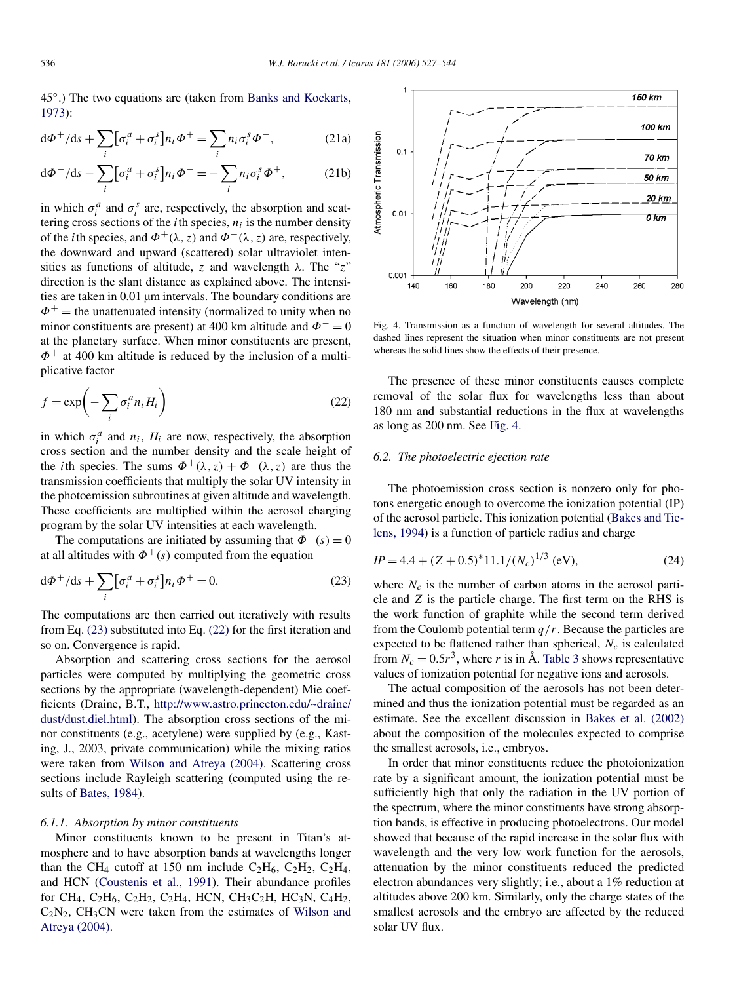45<sup>°</sup>.) The two equations are (taken from [Banks and Kockarts,](#page-16-0) [1973\)](#page-16-0):

$$
d\Phi^+ / ds + \sum_i [\sigma_i^a + \sigma_i^s] n_i \Phi^+ = \sum_i n_i \sigma_i^s \Phi^-, \qquad (21a)
$$

$$
d\Phi^{-}/ds - \sum_{i} \left[\sigma_i^a + \sigma_i^s\right] n_i \Phi^{-} = -\sum_{i} n_i \sigma_i^s \Phi^{+}, \tag{21b}
$$

in which  $\sigma_i^a$  and  $\sigma_i^s$  are, respectively, the absorption and scattering cross sections of the *i*th species,  $n_i$  is the number density of the *i*th species, and  $\Phi^+(\lambda, z)$  and  $\Phi^-(\lambda, z)$  are, respectively, the downward and upward (scattered) solar ultraviolet intensities as functions of altitude, *z* and wavelength *λ*. The "*z*" direction is the slant distance as explained above. The intensities are taken in 0.01 µm intervals. The boundary conditions are  $\Phi^+$  = the unattenuated intensity (normalized to unity when no minor constituents are present) at 400 km altitude and  $\Phi^- = 0$ at the planetary surface. When minor constituents are present, *Φ*+ at 400 km altitude is reduced by the inclusion of a multiplicative factor

$$
f = \exp\left(-\sum_{i} \sigma_i^a n_i H_i\right) \tag{22}
$$

in which  $\sigma_i^a$  and  $n_i$ ,  $H_i$  are now, respectively, the absorption cross section and the number density and the scale height of the *i*th species. The sums  $\Phi^+(\lambda, z) + \Phi^-(\lambda, z)$  are thus the transmission coefficients that multiply the solar UV intensity in the photoemission subroutines at given altitude and wavelength. These coefficients are multiplied within the aerosol charging program by the solar UV intensities at each wavelength.

The computations are initiated by assuming that  $\Phi^{-}(s) = 0$ at all altitudes with  $\Phi^+(s)$  computed from the equation

$$
d\Phi^+ / ds + \sum_i \left[\sigma_i^a + \sigma_i^s\right] n_i \Phi^+ = 0.
$$
 (23)

The computations are then carried out iteratively with results from Eq. (23) substituted into Eq. (22) for the first iteration and so on. Convergence is rapid.

Absorption and scattering cross sections for the aerosol particles were computed by multiplying the geometric cross sections by the appropriate (wavelength-dependent) Mie coefficients (Draine, B.T., [http://www.astro.princeton.edu/~draine/](http://www.astro.princeton.edu/~draine/dust/dust.diel.html) [dust/dust.diel.html\)](http://www.astro.princeton.edu/~draine/dust/dust.diel.html). The absorption cross sections of the minor constituents (e.g., acetylene) were supplied by (e.g., Kasting, J., 2003, private communication) while the mixing ratios were taken from [Wilson and Atreya \(2004\).](#page-17-0) Scattering cross sections include Rayleigh scattering (computed using the results of [Bates, 1984\)](#page-16-0).

#### *6.1.1. Absorption by minor constituents*

Minor constituents known to be present in Titan's atmosphere and to have absorption bands at wavelengths longer than the CH<sub>4</sub> cutoff at 150 nm include  $C_2H_6$ ,  $C_2H_2$ ,  $C_2H_4$ , and HCN [\(Coustenis et al., 1991\)](#page-16-0). Their abundance profiles for CH<sub>4</sub>, C<sub>2</sub>H<sub>6</sub>, C<sub>2</sub>H<sub>2</sub>, C<sub>2</sub>H<sub>4</sub>, HCN, CH<sub>3</sub>C<sub>2</sub>H, HC<sub>3</sub>N, C<sub>4</sub>H<sub>2</sub>,  $C_2N_2$ , CH<sub>3</sub>CN were taken from the estimates of [Wilson and](#page-17-0) [Atreya \(2004\).](#page-17-0)



Fig. 4. Transmission as a function of wavelength for several altitudes. The dashed lines represent the situation when minor constituents are not present whereas the solid lines show the effects of their presence.

The presence of these minor constituents causes complete removal of the solar flux for wavelengths less than about 180 nm and substantial reductions in the flux at wavelengths as long as 200 nm. See Fig. 4.

# *6.2. The photoelectric ejection rate*

The photoemission cross section is nonzero only for photons energetic enough to overcome the ionization potential (IP) of the aerosol particle. This ionization potential [\(Bakes and Tie](#page-16-0)[lens, 1994\)](#page-16-0) is a function of particle radius and charge

$$
IP = 4.4 + (Z + 0.5)^{*}11.1/(N_c)^{1/3} \text{ (eV)},\tag{24}
$$

where  $N_c$  is the number of carbon atoms in the aerosol particle and *Z* is the particle charge. The first term on the RHS is the work function of graphite while the second term derived from the Coulomb potential term *q/r*. Because the particles are expected to be flattened rather than spherical,  $N_c$  is calculated from  $N_c = 0.5r^3$ , where *r* is in Å. [Table 3](#page-8-0) shows representative values of ionization potential for negative ions and aerosols.

The actual composition of the aerosols has not been determined and thus the ionization potential must be regarded as an estimate. See the excellent discussion in [Bakes et al. \(2002\)](#page-16-0) about the composition of the molecules expected to comprise the smallest aerosols, i.e., embryos.

In order that minor constituents reduce the photoionization rate by a significant amount, the ionization potential must be sufficiently high that only the radiation in the UV portion of the spectrum, where the minor constituents have strong absorption bands, is effective in producing photoelectrons. Our model showed that because of the rapid increase in the solar flux with wavelength and the very low work function for the aerosols, attenuation by the minor constituents reduced the predicted electron abundances very slightly; i.e., about a 1% reduction at altitudes above 200 km. Similarly, only the charge states of the smallest aerosols and the embryo are affected by the reduced solar UV flux.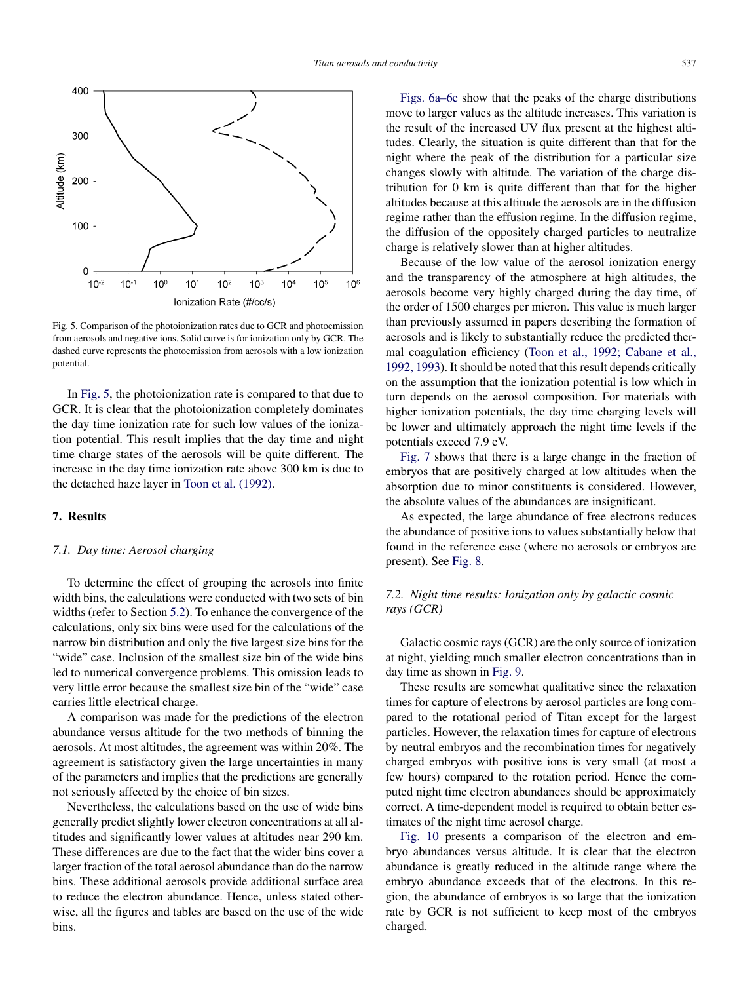

Fig. 5. Comparison of the photoionization rates due to GCR and photoemission from aerosols and negative ions. Solid curve is for ionization only by GCR. The dashed curve represents the photoemission from aerosols with a low ionization potential.

In Fig. 5, the photoionization rate is compared to that due to GCR. It is clear that the photoionization completely dominates the day time ionization rate for such low values of the ionization potential. This result implies that the day time and night time charge states of the aerosols will be quite different. The increase in the day time ionization rate above 300 km is due to the detached haze layer in [Toon et al. \(1992\).](#page-17-0)

# **7. Results**

# *7.1. Day time: Aerosol charging*

To determine the effect of grouping the aerosols into finite width bins, the calculations were conducted with two sets of bin widths (refer to Section [5.2\)](#page-7-0). To enhance the convergence of the calculations, only six bins were used for the calculations of the narrow bin distribution and only the five largest size bins for the "wide" case. Inclusion of the smallest size bin of the wide bins led to numerical convergence problems. This omission leads to very little error because the smallest size bin of the "wide" case carries little electrical charge.

A comparison was made for the predictions of the electron abundance versus altitude for the two methods of binning the aerosols. At most altitudes, the agreement was within 20%. The agreement is satisfactory given the large uncertainties in many of the parameters and implies that the predictions are generally not seriously affected by the choice of bin sizes.

Nevertheless, the calculations based on the use of wide bins generally predict slightly lower electron concentrations at all altitudes and significantly lower values at altitudes near 290 km. These differences are due to the fact that the wider bins cover a larger fraction of the total aerosol abundance than do the narrow bins. These additional aerosols provide additional surface area to reduce the electron abundance. Hence, unless stated otherwise, all the figures and tables are based on the use of the wide bins.

[Figs. 6a–6e](#page-11-0) show that the peaks of the charge distributions move to larger values as the altitude increases. This variation is the result of the increased UV flux present at the highest altitudes. Clearly, the situation is quite different than that for the night where the peak of the distribution for a particular size changes slowly with altitude. The variation of the charge distribution for 0 km is quite different than that for the higher altitudes because at this altitude the aerosols are in the diffusion regime rather than the effusion regime. In the diffusion regime, the diffusion of the oppositely charged particles to neutralize charge is relatively slower than at higher altitudes.

Because of the low value of the aerosol ionization energy and the transparency of the atmosphere at high altitudes, the aerosols become very highly charged during the day time, of the order of 1500 charges per micron. This value is much larger than previously assumed in papers describing the formation of aerosols and is likely to substantially reduce the predicted thermal coagulation efficiency [\(Toon et al., 1992; Cabane et al.,](#page-17-0) [1992, 1993\)](#page-17-0). It should be noted that this result depends critically on the assumption that the ionization potential is low which in turn depends on the aerosol composition. For materials with higher ionization potentials, the day time charging levels will be lower and ultimately approach the night time levels if the potentials exceed 7.9 eV.

[Fig. 7](#page-12-0) shows that there is a large change in the fraction of embryos that are positively charged at low altitudes when the absorption due to minor constituents is considered. However, the absolute values of the abundances are insignificant.

As expected, the large abundance of free electrons reduces the abundance of positive ions to values substantially below that found in the reference case (where no aerosols or embryos are present). See [Fig. 8.](#page-12-0)

# *7.2. Night time results: Ionization only by galactic cosmic rays (GCR)*

Galactic cosmic rays (GCR) are the only source of ionization at night, yielding much smaller electron concentrations than in day time as shown in [Fig. 9.](#page-12-0)

These results are somewhat qualitative since the relaxation times for capture of electrons by aerosol particles are long compared to the rotational period of Titan except for the largest particles. However, the relaxation times for capture of electrons by neutral embryos and the recombination times for negatively charged embryos with positive ions is very small (at most a few hours) compared to the rotation period. Hence the computed night time electron abundances should be approximately correct. A time-dependent model is required to obtain better estimates of the night time aerosol charge.

[Fig. 10](#page-12-0) presents a comparison of the electron and embryo abundances versus altitude. It is clear that the electron abundance is greatly reduced in the altitude range where the embryo abundance exceeds that of the electrons. In this region, the abundance of embryos is so large that the ionization rate by GCR is not sufficient to keep most of the embryos charged.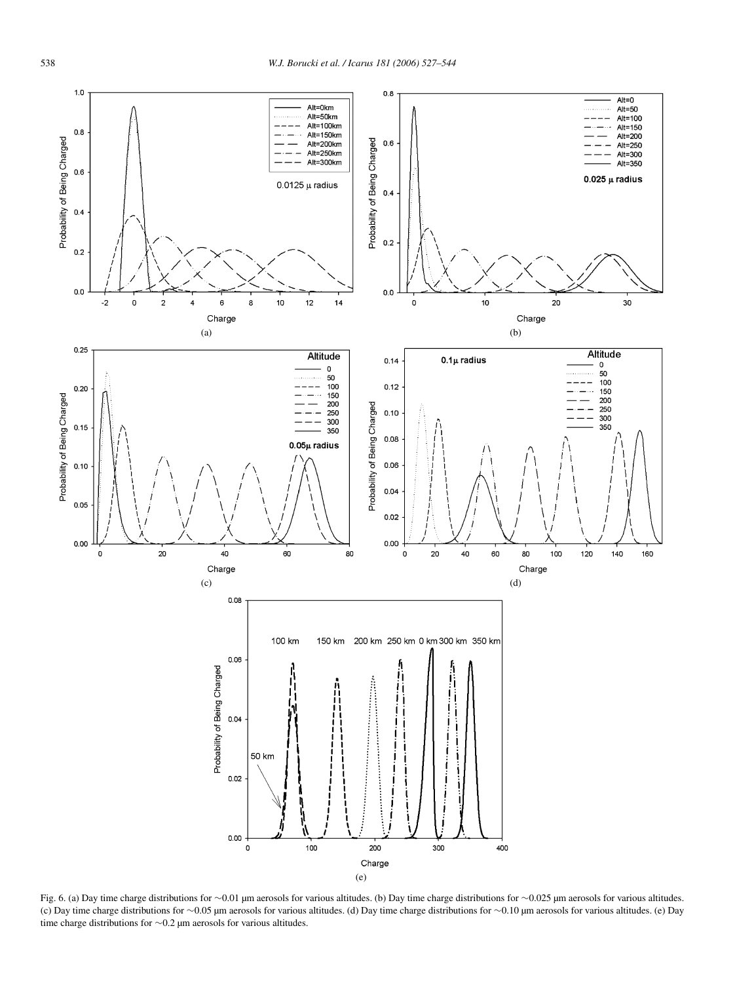<span id="page-11-0"></span>

Fig. 6. (a) Day time charge distributions for ∼0.01 µm aerosols for various altitudes. (b) Day time charge distributions for ∼0.025 µm aerosols for various altitudes. (c) Day time charge distributions for ∼0.05 µm aerosols for various altitudes. (d) Day time charge distributions for ∼0.10 µm aerosols for various altitudes. (e) Day time charge distributions for ∼0.2 µm aerosols for various altitudes.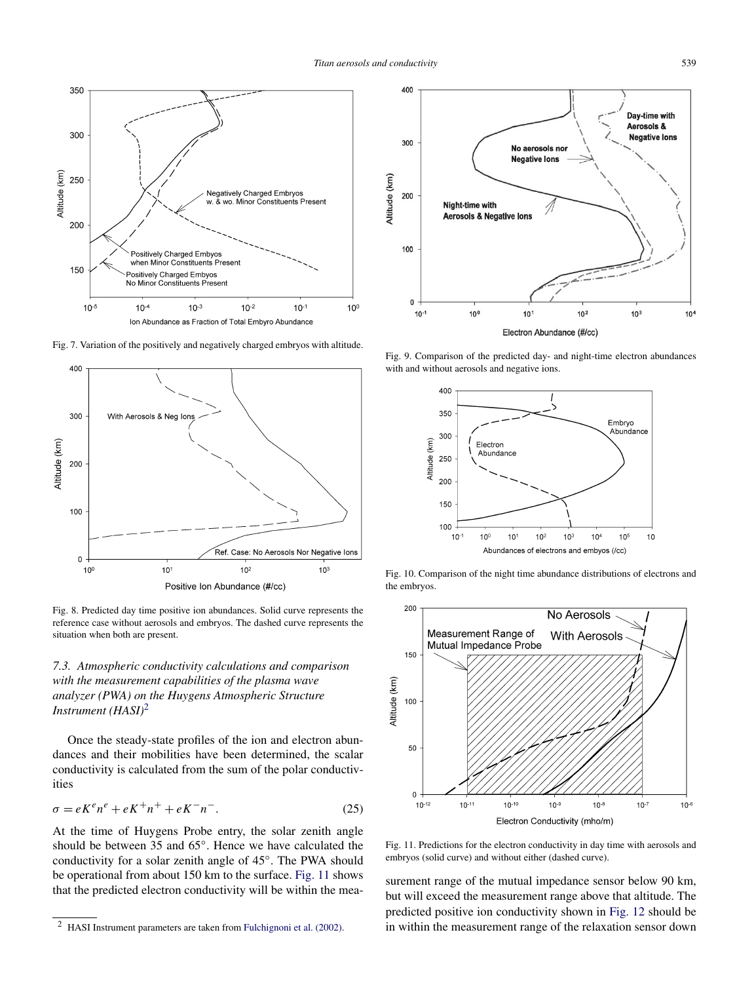<span id="page-12-0"></span>

Fig. 7. Variation of the positively and negatively charged embryos with altitude.



Fig. 8. Predicted day time positive ion abundances. Solid curve represents the reference case without aerosols and embryos. The dashed curve represents the situation when both are present.

# *7.3. Atmospheric conductivity calculations and comparison with the measurement capabilities of the plasma wave analyzer (PWA) on the Huygens Atmospheric Structure Instrument (HASI)*<sup>2</sup>

Once the steady-state profiles of the ion and electron abundances and their mobilities have been determined, the scalar conductivity is calculated from the sum of the polar conductivities

$$
\sigma = eK^{e}n^{e} + eK^{+}n^{+} + eK^{-}n^{-}.
$$
\n(25)

At the time of Huygens Probe entry, the solar zenith angle should be between 35 and 65◦. Hence we have calculated the conductivity for a solar zenith angle of 45◦. The PWA should be operational from about 150 km to the surface. Fig. 11 shows that the predicted electron conductivity will be within the mea-



Fig. 9. Comparison of the predicted day- and night-time electron abundances with and without aerosols and negative ions.



Fig. 10. Comparison of the night time abundance distributions of electrons and the embryos.



Fig. 11. Predictions for the electron conductivity in day time with aerosols and embryos (solid curve) and without either (dashed curve).

surement range of the mutual impedance sensor below 90 km, but will exceed the measurement range above that altitude. The predicted positive ion conductivity shown in [Fig. 12](#page-13-0) should be in within the measurement range of the relaxation sensor down

<sup>2</sup> HASI Instrument parameters are taken from [Fulchignoni et al. \(2002\).](#page-16-0)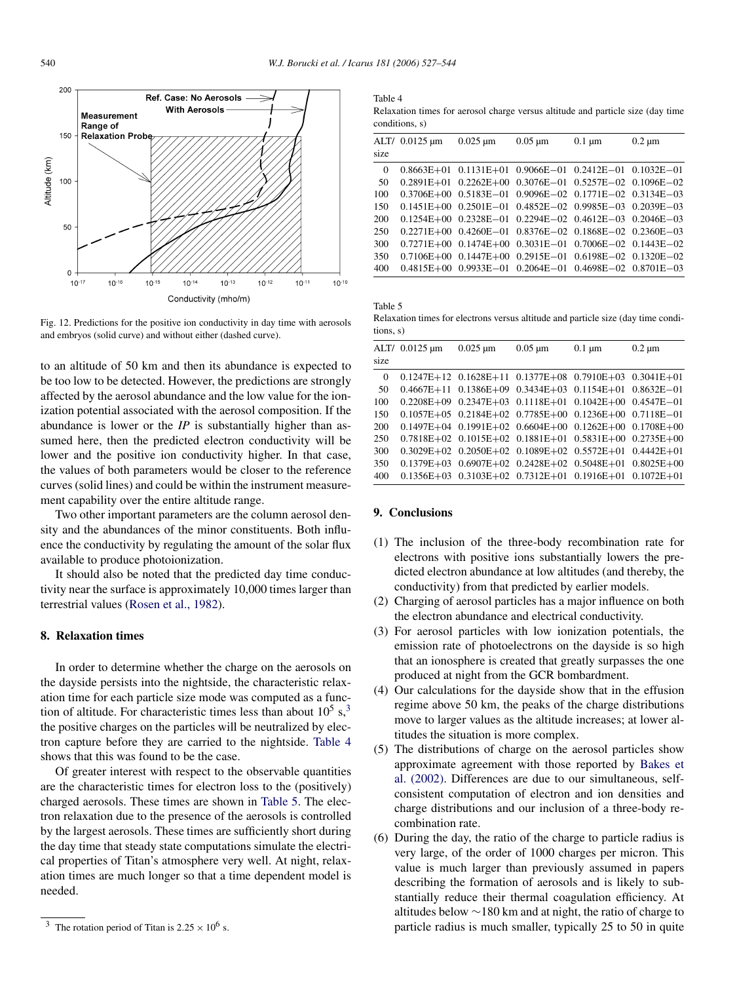<span id="page-13-0"></span>

Fig. 12. Predictions for the positive ion conductivity in day time with aerosols and embryos (solid curve) and without either (dashed curve).

to an altitude of 50 km and then its abundance is expected to be too low to be detected. However, the predictions are strongly affected by the aerosol abundance and the low value for the ionization potential associated with the aerosol composition. If the abundance is lower or the *IP* is substantially higher than assumed here, then the predicted electron conductivity will be lower and the positive ion conductivity higher. In that case, the values of both parameters would be closer to the reference curves (solid lines) and could be within the instrument measurement capability over the entire altitude range.

Two other important parameters are the column aerosol density and the abundances of the minor constituents. Both influence the conductivity by regulating the amount of the solar flux available to produce photoionization.

It should also be noted that the predicted day time conductivity near the surface is approximately 10,000 times larger than terrestrial values [\(Rosen et al., 1982\)](#page-17-0).

# **8. Relaxation times**

In order to determine whether the charge on the aerosols on the dayside persists into the nightside, the characteristic relaxation time for each particle size mode was computed as a function of altitude. For characteristic times less than about  $10^5$  s,<sup>3</sup> the positive charges on the particles will be neutralized by electron capture before they are carried to the nightside. Table 4 shows that this was found to be the case.

Of greater interest with respect to the observable quantities are the characteristic times for electron loss to the (positively) charged aerosols. These times are shown in Table 5. The electron relaxation due to the presence of the aerosols is controlled by the largest aerosols. These times are sufficiently short during the day time that steady state computations simulate the electrical properties of Titan's atmosphere very well. At night, relaxation times are much longer so that a time dependent model is needed.

Table 4 Relaxation times for aerosol charge versus altitude and particle size (day time conditions, s)

| size           | ALT/ 0.0125 µm | $0.025 \mu m$ | $0.05 \mu m$ | $0.1 \mu m$                                                                | $0.2 \mu m$ |
|----------------|----------------|---------------|--------------|----------------------------------------------------------------------------|-------------|
| $\overline{0}$ |                |               |              | $0.8663E+01$ $0.1131E+01$ $0.9066E-01$ $0.2412E-01$ $0.1032E-01$           |             |
| 50             |                |               |              | $0.2891E+01$ $0.2262E+00$ $0.3076E-01$ $0.5257E-02$ $0.1096E-02$           |             |
| 100            |                |               |              | $0.3706E+00$ $0.5183E-01$ $0.9096E-02$ $0.1771E-02$ $0.3134E-03$           |             |
| 150            |                |               |              | $0.1451E+00$ $0.2501E-01$ $0.4852E-02$ $0.9985E-03$ $0.2039E-03$           |             |
| 200            |                |               |              | $0.1254E+00$ $0.2328E-01$ $0.2294E-02$ $0.4612E-03$ $0.2046E-03$           |             |
| 250            |                |               |              | $0.2271E+00$ $0.4260E-01$ $0.8376E-02$ $0.1868E-02$ $0.2360E-03$           |             |
| 300            |                |               |              | $0.7271E+00$ $0.1474E+00$ $0.3031E-01$ $0.7006E-02$ $0.1443E-02$           |             |
| 350            |                |               |              | $0.7106E + 00$ $0.1447E + 00$ $0.2915E - 01$ $0.6198E - 02$ $0.1320E - 02$ |             |
| 400            |                |               |              | $0.4815E+00$ $0.9933E-01$ $0.2064E-01$ $0.4698E-02$ $0.8701E-03$           |             |
|                |                |               |              |                                                                            |             |

Table 5 Relaxation times for electrons versus altitude and particle size (day time conditions, s)

|              | ALT/ 0.0125 µm | $0.025 \mu m$ | $0.05 \mu m$                                                     | $0.1 \mu m$ | $0.2 \mu m$ |
|--------------|----------------|---------------|------------------------------------------------------------------|-------------|-------------|
| size         |                |               |                                                                  |             |             |
| $\mathbf{0}$ |                |               | $0.1247E+12$ $0.1628E+11$ $0.1377E+08$ $0.7910E+03$ $0.3041E+01$ |             |             |
| 50           |                |               | $0.4667E+11$ $0.1386E+09$ $0.3434E+03$ $0.1154E+01$ $0.8632E-01$ |             |             |
| 100          |                |               | $0.2208E+09$ $0.2347E+03$ $0.1118E+01$ $0.1042E+00$ $0.4547E-01$ |             |             |
| 150          |                |               | $0.1057E+05$ $0.2184E+02$ $0.7785E+00$ $0.1236E+00$ $0.7118E-01$ |             |             |
| 200          |                |               | $0.1497E+04$ $0.1991E+02$ $0.6604E+00$ $0.1262E+00$ $0.1708E+00$ |             |             |
| 250          |                |               | $0.7818E+02$ $0.1015E+02$ $0.1881E+01$ $0.5831E+00$ $0.2735E+00$ |             |             |
| 300          |                |               | $0.3029E+02$ $0.2050E+02$ $0.1089E+02$ $0.5572E+01$ $0.4442E+01$ |             |             |
| 350          |                |               | $0.1379E+03$ $0.6907E+02$ $0.2428E+02$ $0.5048E+01$ $0.8025E+00$ |             |             |
| 400          |                |               | $0.1356E+03$ $0.3103E+02$ $0.7312E+01$ $0.1916E+01$ $0.1072E+01$ |             |             |

# **9. Conclusions**

- (1) The inclusion of the three-body recombination rate for electrons with positive ions substantially lowers the predicted electron abundance at low altitudes (and thereby, the conductivity) from that predicted by earlier models.
- (2) Charging of aerosol particles has a major influence on both the electron abundance and electrical conductivity.
- (3) For aerosol particles with low ionization potentials, the emission rate of photoelectrons on the dayside is so high that an ionosphere is created that greatly surpasses the one produced at night from the GCR bombardment.
- (4) Our calculations for the dayside show that in the effusion regime above 50 km, the peaks of the charge distributions move to larger values as the altitude increases; at lower altitudes the situation is more complex.
- (5) The distributions of charge on the aerosol particles show approximate agreement with those reported by [Bakes et](#page-16-0) [al. \(2002\).](#page-16-0) Differences are due to our simultaneous, selfconsistent computation of electron and ion densities and charge distributions and our inclusion of a three-body recombination rate.
- (6) During the day, the ratio of the charge to particle radius is very large, of the order of 1000 charges per micron. This value is much larger than previously assumed in papers describing the formation of aerosols and is likely to substantially reduce their thermal coagulation efficiency. At altitudes below ∼180 km and at night, the ratio of charge to particle radius is much smaller, typically 25 to 50 in quite

<sup>&</sup>lt;sup>3</sup> The rotation period of Titan is  $2.25 \times 10^6$  s.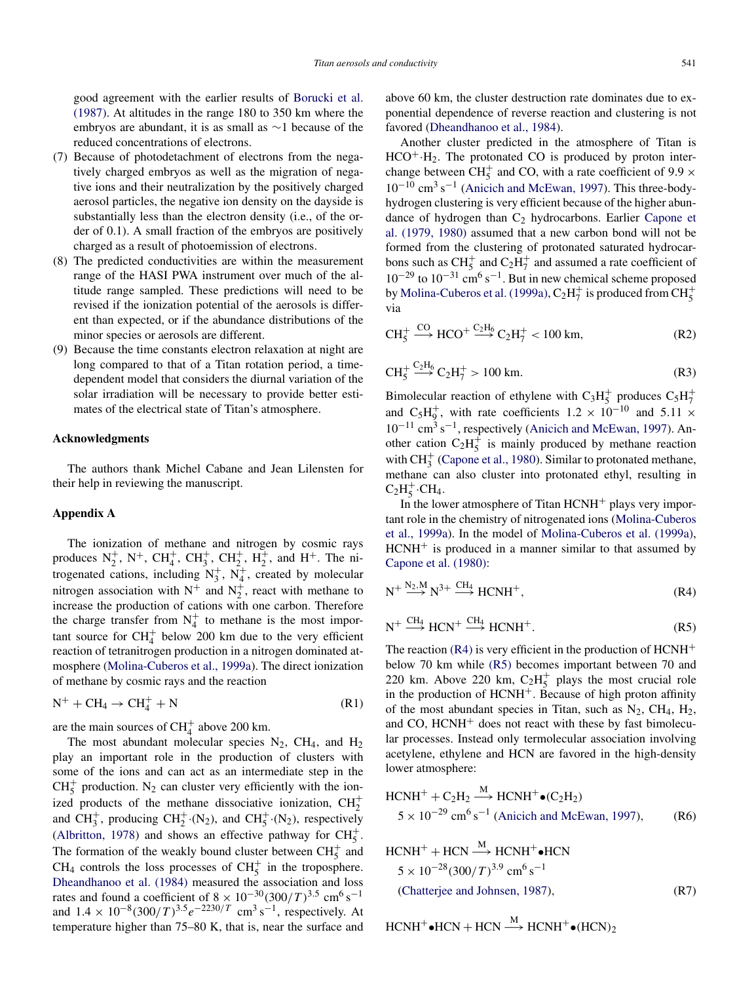<span id="page-14-0"></span>good agreement with the earlier results of [Borucki et al.](#page-16-0) [\(1987\).](#page-16-0) At altitudes in the range 180 to 350 km where the embryos are abundant, it is as small as ∼1 because of the reduced concentrations of electrons.

- (7) Because of photodetachment of electrons from the negatively charged embryos as well as the migration of negative ions and their neutralization by the positively charged aerosol particles, the negative ion density on the dayside is substantially less than the electron density (i.e., of the order of 0.1). A small fraction of the embryos are positively charged as a result of photoemission of electrons.
- (8) The predicted conductivities are within the measurement range of the HASI PWA instrument over much of the altitude range sampled. These predictions will need to be revised if the ionization potential of the aerosols is different than expected, or if the abundance distributions of the minor species or aerosols are different.
- (9) Because the time constants electron relaxation at night are long compared to that of a Titan rotation period, a timedependent model that considers the diurnal variation of the solar irradiation will be necessary to provide better estimates of the electrical state of Titan's atmosphere.

# **Acknowledgments**

The authors thank Michel Cabane and Jean Lilensten for their help in reviewing the manuscript.

#### **Appendix A**

The ionization of methane and nitrogen by cosmic rays produces  $N_2^+$ ,  $N^+$ ,  $CH_4^+$ ,  $CH_3^+$ ,  $CH_2^+$ ,  $H_2^+$ , and  $H^+$ . The nitrogenated cations, including  $N_3^+$ ,  $N_4^+$ , created by molecular nitrogen association with  $N^+$  and  $N_2^+$ , react with methane to increase the production of cations with one carbon. Therefore the charge transfer from  $N_4^+$  to methane is the most important source for  $CH_4^+$  below 200 km due to the very efficient reaction of tetranitrogen production in a nitrogen dominated atmosphere [\(Molina-Cuberos et al., 1999a\)](#page-16-0). The direct ionization of methane by cosmic rays and the reaction

$$
N^+ + CH_4 \rightarrow CH_4^+ + N \tag{R1}
$$

are the main sources of  $CH_4^+$  above 200 km.

The most abundant molecular species  $N_2$ , CH<sub>4</sub>, and H<sub>2</sub> play an important role in the production of clusters with some of the ions and can act as an intermediate step in the  $CH<sub>5</sub><sup>+</sup>$  production. N<sub>2</sub> can cluster very efficiently with the ionized products of the methane dissociative ionization,  $CH_2^+$ and  $CH_3^+$ , producing  $CH_2^+(\mathbb{N}_2)$ , and  $CH_5^+(\mathbb{N}_2)$ , respectively [\(Albritton, 1978\)](#page-16-0) and shows an effective pathway for  $CH_5^+$ . The formation of the weakly bound cluster between  $CH<sub>5</sub><sup>+</sup>$  and CH<sub>4</sub> controls the loss processes of  $CH<sub>5</sub><sup>+</sup>$  in the troposphere. [Dheandhanoo et al. \(1984\)](#page-16-0) measured the association and loss rates and found a coefficient of  $8 \times 10^{-30} (300/T)^{3.5}$  cm<sup>6</sup> s<sup>-1</sup> and  $1.4 \times 10^{-8} (300/T)^{3.5} e^{-2230/T}$  cm<sup>3</sup> s<sup>-1</sup>, respectively. At temperature higher than 75–80 K, that is, near the surface and

above 60 km, the cluster destruction rate dominates due to exponential dependence of reverse reaction and clustering is not favored [\(Dheandhanoo et al., 1984\)](#page-16-0).

Another cluster predicted in the atmosphere of Titan is  $HCO<sup>+</sup>·H<sub>2</sub>$ . The protonated CO is produced by proton interchange between CH<sup>+</sup><sub>5</sub> and CO, with a rate coefficient of 9.9  $\times$ 10−<sup>10</sup> cm3 s−<sup>1</sup> [\(Anicich and McEwan, 1997\)](#page-16-0). This three-bodyhydrogen clustering is very efficient because of the higher abundance of hydrogen than  $C_2$  hydrocarbons. Earlier [Capone et](#page-16-0) [al. \(1979, 1980\)](#page-16-0) assumed that a new carbon bond will not be formed from the clustering of protonated saturated hydrocarbons such as  $CH_5^+$  and  $C_2H_7^+$  and assumed a rate coefficient of  $10^{-29}$  to  $10^{-31}$  cm<sup>6</sup> s<sup>-1</sup>. But in new chemical scheme proposed by [Molina-Cuberos et al. \(1999a\),](#page-16-0)  $C_2H_7^+$  is produced from  $CH_5^+$ via

$$
CH_5^+ \xrightarrow{CO} HCO^+ \xrightarrow{C_2H_6} C_2H_7^+ < 100 \text{ km},\tag{R2}
$$

$$
CH_5^+ \xrightarrow{C_2H_6} C_2H_7^+ > 100 \text{ km.}
$$
 (R3)

Bimolecular reaction of ethylene with  $C_3H_5^+$  produces  $C_5H_7^+$ and  $C_5H_9^+$ , with rate coefficients  $1.2 \times 10^{-10}$  and  $5.11 \times$ 10−<sup>11</sup> cm3 s−1, respectively [\(Anicich and McEwan, 1997\)](#page-16-0). Another cation  $C_2H_5^+$  is mainly produced by methane reaction with  $CH<sub>3</sub><sup>+</sup>$  [\(Capone et al., 1980\)](#page-16-0). Similar to protonated methane, methane can also cluster into protonated ethyl, resulting in  $C_2H_5^+\cdot CH_4.$ 

In the lower atmosphere of Titan  $HCNH^+$  plays very important role in the chemistry of nitrogenated ions [\(Molina-Cuberos](#page-16-0) [et al., 1999a\)](#page-16-0). In the model of [Molina-Cuberos et al. \(1999a\),](#page-16-0)  $HCNH<sup>+</sup>$  is produced in a manner similar to that assumed by [Capone et al. \(1980\):](#page-16-0)

$$
N^{+} \xrightarrow{N_2, M} N^{3+} \xrightarrow{CH_4} HCNH^{+}, \tag{R4}
$$

$$
N^{+} \xrightarrow{CH_4} HCN^{+} \xrightarrow{CH_4} HCNH^{+}.
$$
 (R5)

The reaction  $(R4)$  is very efficient in the production of  $HCNH^+$ below 70 km while (R5) becomes important between 70 and 220 km. Above 220 km,  $C_2H_5^+$  plays the most crucial role in the production of  $HCNH^+$ . Because of high proton affinity of the most abundant species in Titan, such as  $N_2$ , CH<sub>4</sub>, H<sub>2</sub>, and  $CO$ ,  $HCNH<sup>+</sup>$  does not react with these by fast bimolecular processes. Instead only termolecular association involving acetylene, ethylene and HCN are favored in the high-density lower atmosphere:

$$
HCNH^{+} + C_{2}H_{2} \xrightarrow{M} HCNH^{+} \bullet (C_{2}H_{2})
$$
  
5 × 10<sup>-29</sup> cm<sup>6</sup> s<sup>-1</sup> (Anicich and McEwan, 1997), (R6)

$$
HCNH^{+} + HCN \xrightarrow{M} HCNH^{+} \bullet HCN
$$
  
5 × 10<sup>-28</sup>(300/*T*)<sup>3.9</sup> cm<sup>6</sup> s<sup>-1</sup>  
(Chatterjee and Johnson, 1987), (R7)

 $HCNH^+ \bullet HCN + HCN \stackrel{M}{\longrightarrow} HCNH^+ \bullet (HCN)_2$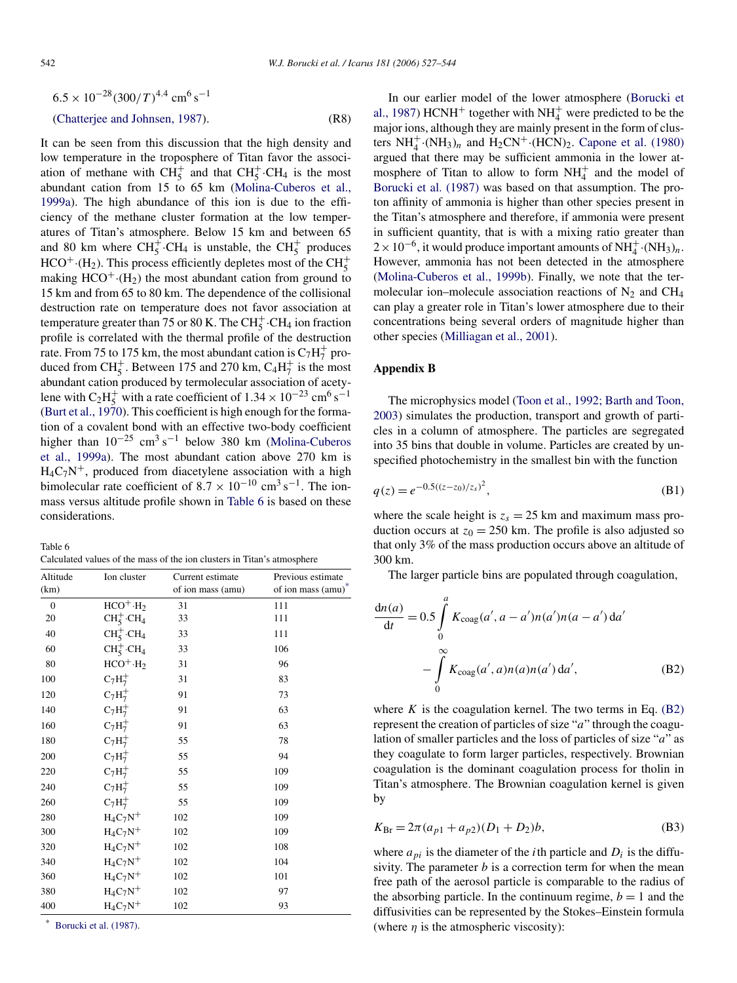<span id="page-15-0"></span>
$$
6.5 \times 10^{-28} (300/T)^{4.4} \text{ cm}^6 \text{ s}^{-1}
$$
  
(Chatterjee and Johnson, 1987). (R8)

It can be seen from this discussion that the high density and low temperature in the troposphere of Titan favor the association of methane with  $CH_5^+$  and that  $CH_5^+$ ·CH<sub>4</sub> is the most abundant cation from 15 to 65 km [\(Molina-Cuberos et al.,](#page-16-0) [1999a\)](#page-16-0). The high abundance of this ion is due to the efficiency of the methane cluster formation at the low temperatures of Titan's atmosphere. Below 15 km and between 65 and 80 km where  $CH_5^+ \cdot CH_4$  is unstable, the  $CH_5^+$  produces  $HCO^+(H_2)$ . This process efficiently depletes most of the  $CH_5^+$ making  $HCO^+(H_2)$  the most abundant cation from ground to 15 km and from 65 to 80 km. The dependence of the collisional destruction rate on temperature does not favor association at temperature greater than 75 or 80 K. The  $\rm CH_{5}^{+}$   $\rm CH_{4}$  ion fraction profile is correlated with the thermal profile of the destruction rate. From 75 to 175 km, the most abundant cation is  $C_7H_7^+$  produced from CH<sup>+</sup><sub>5</sub>. Between 175 and 270 km,  $C_4H_7^+$  is the most abundant cation produced by termolecular association of acetylene with C<sub>2</sub>H<sub>5</sub><sup>+</sup> with a rate coefficient of  $1.34 \times 10^{-23}$  cm<sup>6</sup> s<sup>-1</sup> [\(Burt et al., 1970\)](#page-16-0). This coefficient is high enough for the formation of a covalent bond with an effective two-body coefficient higher than  $10^{-25}$  cm<sup>3</sup> s<sup>-1</sup> below 380 km [\(Molina-Cuberos](#page-16-0) [et al., 1999a\)](#page-16-0). The most abundant cation above 270 km is  $H_4C_7N^+$ , produced from diacetylene association with a high bimolecular rate coefficient of  $8.7 \times 10^{-10}$  cm<sup>3</sup> s<sup>-1</sup>. The ionmass versus altitude profile shown in Table 6 is based on these considerations.

Table 6 Calculated values of the mass of the ion clusters in Titan's atmosphere

| Altitude<br>(km) | Ion cluster         | Current estimate<br>of ion mass (amu) | Previous estimate<br>of ion mass (amu)* |
|------------------|---------------------|---------------------------------------|-----------------------------------------|
| $\mathbf{0}$     | $HCO^+ \cdot H_2$   | 31                                    | 111                                     |
| 20               | $CH_5^+ \cdot CH_4$ | 33                                    | 111                                     |
| 40               | $CH_5^+ \cdot CH_4$ | 33                                    | 111                                     |
| 60               | $CH_5^+ \cdot CH_4$ | 33                                    | 106                                     |
| 80               | $HCO^+ \cdot H_2$   | 31                                    | 96                                      |
| 100              | $C_7H_7^+$          | 31                                    | 83                                      |
| 120              | $C_7H_7^+$          | 91                                    | 73                                      |
| 140              | $C_7H_7^+$          | 91                                    | 63                                      |
| 160              | $C_7H_7^+$          | 91                                    | 63                                      |
| 180              | $C_7H_7^+$          | 55                                    | 78                                      |
| 200              | $C_7H_7^+$          | 55                                    | 94                                      |
| 220              | $C_7H_7^+$          | 55                                    | 109                                     |
| 240              | $C_7H_7^+$          | 55                                    | 109                                     |
| 260              | $C_7H_7^+$          | 55                                    | 109                                     |
| 280              | $H_4C_7N^+$         | 102                                   | 109                                     |
| 300              | $H_4C_7N^+$         | 102                                   | 109                                     |
| 320              | $H_4C_7N^+$         | 102                                   | 108                                     |
| 340              | $H_4C_7N^+$         | 102                                   | 104                                     |
| 360              | $H_4C_7N^+$         | 102                                   | 101                                     |
| 380              | $H_4C_7N^+$         | 102                                   | 97                                      |
| 400              | $H_4C_7N^+$         | 102                                   | 93                                      |

\* [Borucki et al. \(1987\).](#page-16-0)

In our earlier model of the lower atmosphere [\(Borucki et](#page-16-0) [al., 1987\)](#page-16-0) HCNH<sup>+</sup> together with NH<sup>+</sup> were predicted to be the major ions, although they are mainly present in the form of clusters  $NH_4^+ \cdot (NH_3)_n$  and  $H_2CN^+ \cdot (HCN)_2$ . [Capone et al. \(1980\)](#page-16-0) argued that there may be sufficient ammonia in the lower atmosphere of Titan to allow to form  $NH_4^+$  and the model of [Borucki et al. \(1987\)](#page-16-0) was based on that assumption. The proton affinity of ammonia is higher than other species present in the Titan's atmosphere and therefore, if ammonia were present in sufficient quantity, that is with a mixing ratio greater than  $2 \times 10^{-6}$ , it would produce important amounts of NH<sup> $+$ </sup> (NH<sub>3</sub>)<sub>n</sub>. However, ammonia has not been detected in the atmosphere [\(Molina-Cuberos et al., 1999b\)](#page-16-0). Finally, we note that the termolecular ion–molecule association reactions of  $N_2$  and CH<sub>4</sub> can play a greater role in Titan's lower atmosphere due to their concentrations being several orders of magnitude higher than other species [\(Milliagan et al., 2001\)](#page-16-0).

# **Appendix B**

The microphysics model [\(Toon et al., 1992; Barth and Toon,](#page-17-0) [2003\)](#page-17-0) simulates the production, transport and growth of particles in a column of atmosphere. The particles are segregated into 35 bins that double in volume. Particles are created by unspecified photochemistry in the smallest bin with the function

$$
q(z) = e^{-0.5((z-z_0)/z_s)^2},
$$
\n(B1)

where the scale height is  $z_s = 25$  km and maximum mass production occurs at  $z_0 = 250$  km. The profile is also adjusted so that only 3% of the mass production occurs above an altitude of 300 km.

The larger particle bins are populated through coagulation,

$$
\frac{dn(a)}{dt} = 0.5 \int_{0}^{a} K_{\text{coag}}(a', a - a')n(a')n(a - a') da' \n- \int_{0}^{\infty} K_{\text{coag}}(a', a)n(a)n(a') da',
$$
\n(B2)

where  $K$  is the coagulation kernel. The two terms in Eq.  $(B2)$ represent the creation of particles of size "*a*" through the coagulation of smaller particles and the loss of particles of size "*a*" as they coagulate to form larger particles, respectively. Brownian coagulation is the dominant coagulation process for tholin in Titan's atmosphere. The Brownian coagulation kernel is given by

$$
K_{\text{Br}} = 2\pi (a_{p1} + a_{p2})(D_1 + D_2)b,\tag{B3}
$$

where  $a_{pi}$  is the diameter of the *i*th particle and  $D_i$  is the diffusivity. The parameter *b* is a correction term for when the mean free path of the aerosol particle is comparable to the radius of the absorbing particle. In the continuum regime,  $b = 1$  and the diffusivities can be represented by the Stokes–Einstein formula (where  $\eta$  is the atmospheric viscosity):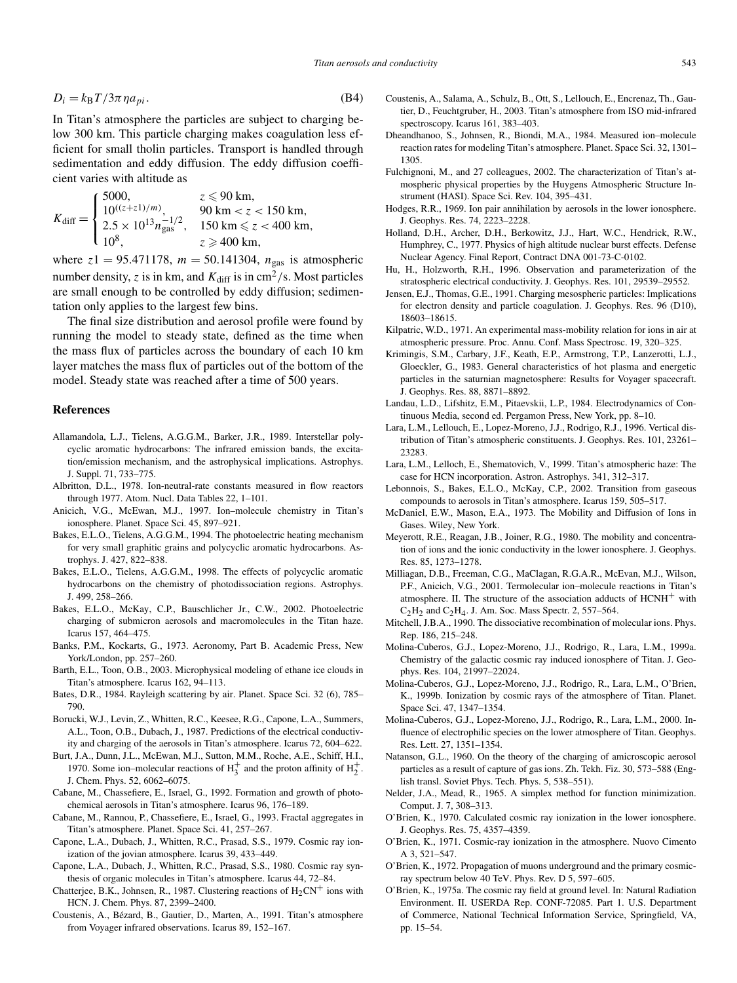<span id="page-16-0"></span>
$$
D_i = k_B T / 3\pi \eta a_{pi}.
$$
 (B4)

In Titan's atmosphere the particles are subject to charging below 300 km. This particle charging makes coagulation less efficient for small tholin particles. Transport is handled through sedimentation and eddy diffusion. The eddy diffusion coefficient varies with altitude as

$$
K_{\text{diff}} = \begin{cases} 5000, & z \le 90 \text{ km}, \\ 10^{((z+z1)/m)}, & 90 \text{ km} < z < 150 \text{ km}, \\ 2.5 \times 10^{13} n_{\text{gas}}^{-1/2}, & 150 \text{ km} \le z < 400 \text{ km}, \\ 10^8, & z \ge 400 \text{ km}, \end{cases}
$$

where  $z1 = 95.471178$ ,  $m = 50.141304$ ,  $n_{\text{gas}}$  is atmospheric number density, *z* is in km, and  $K_{\text{diff}}$  is in cm<sup>2</sup>/s. Most particles are small enough to be controlled by eddy diffusion; sedimentation only applies to the largest few bins.

The final size distribution and aerosol profile were found by running the model to steady state, defined as the time when the mass flux of particles across the boundary of each 10 km layer matches the mass flux of particles out of the bottom of the model. Steady state was reached after a time of 500 years.

# **References**

- Allamandola, L.J., Tielens, A.G.G.M., Barker, J.R., 1989. Interstellar polycyclic aromatic hydrocarbons: The infrared emission bands, the excitation/emission mechanism, and the astrophysical implications. Astrophys. J. Suppl. 71, 733–775.
- Albritton, D.L., 1978. Ion-neutral-rate constants measured in flow reactors through 1977. Atom. Nucl. Data Tables 22, 1–101.
- Anicich, V.G., McEwan, M.J., 1997. Ion–molecule chemistry in Titan's ionosphere. Planet. Space Sci. 45, 897–921.
- Bakes, E.L.O., Tielens, A.G.G.M., 1994. The photoelectric heating mechanism for very small graphitic grains and polycyclic aromatic hydrocarbons. Astrophys. J. 427, 822–838.
- Bakes, E.L.O., Tielens, A.G.G.M., 1998. The effects of polycyclic aromatic hydrocarbons on the chemistry of photodissociation regions. Astrophys. J. 499, 258–266.
- Bakes, E.L.O., McKay, C.P., Bauschlicher Jr., C.W., 2002. Photoelectric charging of submicron aerosols and macromolecules in the Titan haze. Icarus 157, 464–475.
- Banks, P.M., Kockarts, G., 1973. Aeronomy, Part B. Academic Press, New York/London, pp. 257–260.
- Barth, E.L., Toon, O.B., 2003. Microphysical modeling of ethane ice clouds in Titan's atmosphere. Icarus 162, 94–113.
- Bates, D.R., 1984. Rayleigh scattering by air. Planet. Space Sci. 32 (6), 785– 790.
- Borucki, W.J., Levin, Z., Whitten, R.C., Keesee, R.G., Capone, L.A., Summers, A.L., Toon, O.B., Dubach, J., 1987. Predictions of the electrical conductivity and charging of the aerosols in Titan's atmosphere. Icarus 72, 604–622.
- Burt, J.A., Dunn, J.L., McEwan, M.J., Sutton, M.M., Roche, A.E., Schiff, H.I., 1970. Some ion–molecular reactions of  $H_3^+$  and the proton affinity of  $H_2^+$ . J. Chem. Phys. 52, 6062–6075.
- Cabane, M., Chassefiere, E., Israel, G., 1992. Formation and growth of photochemical aerosols in Titan's atmosphere. Icarus 96, 176–189.
- Cabane, M., Rannou, P., Chassefiere, E., Israel, G., 1993. Fractal aggregates in Titan's atmosphere. Planet. Space Sci. 41, 257–267.
- Capone, L.A., Dubach, J., Whitten, R.C., Prasad, S.S., 1979. Cosmic ray ionization of the jovian atmosphere. Icarus 39, 433–449.
- Capone, L.A., Dubach, J., Whitten, R.C., Prasad, S.S., 1980. Cosmic ray synthesis of organic molecules in Titan's atmosphere. Icarus 44, 72–84.
- Chatterjee, B.K., Johnsen, R., 1987. Clustering reactions of  $H_2CN^+$  ions with HCN. J. Chem. Phys. 87, 2399–2400.
- Coustenis, A., Bézard, B., Gautier, D., Marten, A., 1991. Titan's atmosphere from Voyager infrared observations. Icarus 89, 152–167.
- Coustenis, A., Salama, A., Schulz, B., Ott, S., Lellouch, E., Encrenaz, Th., Gautier, D., Feuchtgruber, H., 2003. Titan's atmosphere from ISO mid-infrared spectroscopy. Icarus 161, 383–403.
- Dheandhanoo, S., Johnsen, R., Biondi, M.A., 1984. Measured ion–molecule reaction rates for modeling Titan's atmosphere. Planet. Space Sci. 32, 1301– 1305.
- Fulchignoni, M., and 27 colleagues, 2002. The characterization of Titan's atmospheric physical properties by the Huygens Atmospheric Structure Instrument (HASI). Space Sci. Rev. 104, 395–431.
- Hodges, R.R., 1969. Ion pair annihilation by aerosols in the lower ionosphere. J. Geophys. Res. 74, 2223–2228.
- Holland, D.H., Archer, D.H., Berkowitz, J.J., Hart, W.C., Hendrick, R.W., Humphrey, C., 1977. Physics of high altitude nuclear burst effects. Defense Nuclear Agency. Final Report, Contract DNA 001-73-C-0102.
- Hu, H., Holzworth, R.H., 1996. Observation and parameterization of the stratospheric electrical conductivity. J. Geophys. Res. 101, 29539–29552.
- Jensen, E.J., Thomas, G.E., 1991. Charging mesospheric particles: Implications for electron density and particle coagulation. J. Geophys. Res. 96 (D10), 18603–18615.
- Kilpatric, W.D., 1971. An experimental mass-mobility relation for ions in air at atmospheric pressure. Proc. Annu. Conf. Mass Spectrosc. 19, 320–325.
- Krimingis, S.M., Carbary, J.F., Keath, E.P., Armstrong, T.P., Lanzerotti, L.J., Gloeckler, G., 1983. General characteristics of hot plasma and energetic particles in the saturnian magnetosphere: Results for Voyager spacecraft. J. Geophys. Res. 88, 8871–8892.
- Landau, L.D., Lifshitz, E.M., Pitaevskii, L.P., 1984. Electrodynamics of Continuous Media, second ed. Pergamon Press, New York, pp. 8–10.
- Lara, L.M., Lellouch, E., Lopez-Moreno, J.J., Rodrigo, R.J., 1996. Vertical distribution of Titan's atmospheric constituents. J. Geophys. Res. 101, 23261– 23283.
- Lara, L.M., Lelloch, E., Shematovich, V., 1999. Titan's atmospheric haze: The case for HCN incorporation. Astron. Astrophys. 341, 312–317.
- Lebonnois, S., Bakes, E.L.O., McKay, C.P., 2002. Transition from gaseous compounds to aerosols in Titan's atmosphere. Icarus 159, 505–517.
- McDaniel, E.W., Mason, E.A., 1973. The Mobility and Diffusion of Ions in Gases. Wiley, New York.
- Meyerott, R.E., Reagan, J.B., Joiner, R.G., 1980. The mobility and concentration of ions and the ionic conductivity in the lower ionosphere. J. Geophys. Res. 85, 1273–1278.
- Milliagan, D.B., Freeman, C.G., MaClagan, R.G.A.R., McEvan, M.J., Wilson, P.F., Anicich, V.G., 2001. Termolecular ion–molecule reactions in Titan's atmosphere. II. The structure of the association adducts of  $HCNH<sup>+</sup>$  with  $C_2H_2$  and  $C_2H_4$ . J. Am. Soc. Mass Spectr. 2, 557–564.
- Mitchell, J.B.A., 1990. The dissociative recombination of molecular ions. Phys. Rep. 186, 215–248.
- Molina-Cuberos, G.J., Lopez-Moreno, J.J., Rodrigo, R., Lara, L.M., 1999a. Chemistry of the galactic cosmic ray induced ionosphere of Titan. J. Geophys. Res. 104, 21997–22024.
- Molina-Cuberos, G.J., Lopez-Moreno, J.J., Rodrigo, R., Lara, L.M., O'Brien, K., 1999b. Ionization by cosmic rays of the atmosphere of Titan. Planet. Space Sci. 47, 1347–1354.
- Molina-Cuberos, G.J., Lopez-Moreno, J.J., Rodrigo, R., Lara, L.M., 2000. Influence of electrophilic species on the lower atmosphere of Titan. Geophys. Res. Lett. 27, 1351–1354.
- Natanson, G.L., 1960. On the theory of the charging of amicroscopic aerosol particles as a result of capture of gas ions. Zh. Tekh. Fiz. 30, 573–588 (English transl. Soviet Phys. Tech. Phys. 5, 538–551).
- Nelder, J.A., Mead, R., 1965. A simplex method for function minimization. Comput. J. 7, 308–313.
- O'Brien, K., 1970. Calculated cosmic ray ionization in the lower ionosphere. J. Geophys. Res. 75, 4357–4359.
- O'Brien, K., 1971. Cosmic-ray ionization in the atmosphere. Nuovo Cimento A 3, 521–547.
- O'Brien, K., 1972. Propagation of muons underground and the primary cosmicray spectrum below 40 TeV. Phys. Rev. D 5, 597–605.
- O'Brien, K., 1975a. The cosmic ray field at ground level. In: Natural Radiation Environment. II. USERDA Rep. CONF-72085. Part 1. U.S. Department of Commerce, National Technical Information Service, Springfield, VA, pp. 15–54.